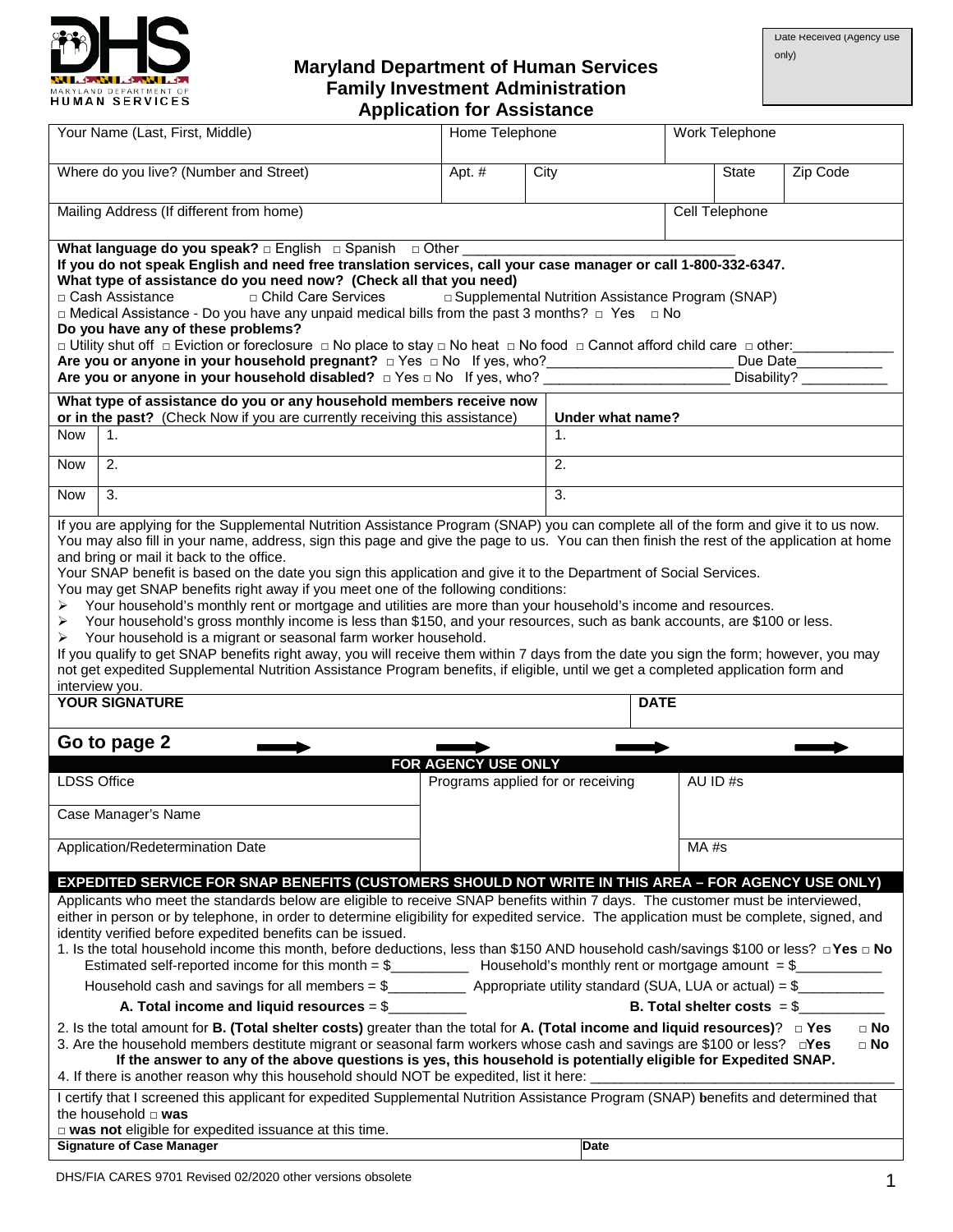

#### **Maryland Department of Human Services Family Investment Administration Application for Assistance**

|                                                                                                                                                                                                                                                                                                                                                                                                                                                                                                                                                                                                                                                                                                                                                                                                                                                                                                                                                                                                                                                                                                                                                                    | Your Name (Last, First, Middle)                                                                                                                                                                                                                                                                                                                                                                                                                                                                                                                                                                                                                                                                                                                      | Home Telephone                    |      |                  |             | Work Telephone |          |  |
|--------------------------------------------------------------------------------------------------------------------------------------------------------------------------------------------------------------------------------------------------------------------------------------------------------------------------------------------------------------------------------------------------------------------------------------------------------------------------------------------------------------------------------------------------------------------------------------------------------------------------------------------------------------------------------------------------------------------------------------------------------------------------------------------------------------------------------------------------------------------------------------------------------------------------------------------------------------------------------------------------------------------------------------------------------------------------------------------------------------------------------------------------------------------|------------------------------------------------------------------------------------------------------------------------------------------------------------------------------------------------------------------------------------------------------------------------------------------------------------------------------------------------------------------------------------------------------------------------------------------------------------------------------------------------------------------------------------------------------------------------------------------------------------------------------------------------------------------------------------------------------------------------------------------------------|-----------------------------------|------|------------------|-------------|----------------|----------|--|
|                                                                                                                                                                                                                                                                                                                                                                                                                                                                                                                                                                                                                                                                                                                                                                                                                                                                                                                                                                                                                                                                                                                                                                    | Where do you live? (Number and Street)                                                                                                                                                                                                                                                                                                                                                                                                                                                                                                                                                                                                                                                                                                               | Apt. #                            | City |                  |             | <b>State</b>   | Zip Code |  |
|                                                                                                                                                                                                                                                                                                                                                                                                                                                                                                                                                                                                                                                                                                                                                                                                                                                                                                                                                                                                                                                                                                                                                                    | Mailing Address (If different from home)                                                                                                                                                                                                                                                                                                                                                                                                                                                                                                                                                                                                                                                                                                             |                                   |      |                  |             | Cell Telephone |          |  |
|                                                                                                                                                                                                                                                                                                                                                                                                                                                                                                                                                                                                                                                                                                                                                                                                                                                                                                                                                                                                                                                                                                                                                                    | What language do you speak? $\Box$ English $\Box$ Spanish $\Box$ Other<br>If you do not speak English and need free translation services, call your case manager or call 1-800-332-6347.<br>What type of assistance do you need now? (Check all that you need)<br>□ Child Care Services<br>□ Cash Assistance<br>□ Supplemental Nutrition Assistance Program (SNAP)<br>$\Box$ Medical Assistance - Do you have any unpaid medical bills from the past 3 months? $\Box$ Yes $\Box$ No<br>Do you have any of these problems?<br>□ Utility shut off □ Eviction or foreclosure □ No place to stay □ No heat □ No food □ Cannot afford child care □ other:_<br>Are you or anyone in your household pregnant? $\Box$ Yes $\Box$ No If yes, who?<br>Due Date |                                   |      |                  |             |                |          |  |
|                                                                                                                                                                                                                                                                                                                                                                                                                                                                                                                                                                                                                                                                                                                                                                                                                                                                                                                                                                                                                                                                                                                                                                    | Are you or anyone in your household disabled? $\Box$ Yes $\Box$ No If yes, who?                                                                                                                                                                                                                                                                                                                                                                                                                                                                                                                                                                                                                                                                      |                                   |      |                  |             | Disability?    |          |  |
|                                                                                                                                                                                                                                                                                                                                                                                                                                                                                                                                                                                                                                                                                                                                                                                                                                                                                                                                                                                                                                                                                                                                                                    | What type of assistance do you or any household members receive now<br>or in the past? (Check Now if you are currently receiving this assistance)                                                                                                                                                                                                                                                                                                                                                                                                                                                                                                                                                                                                    |                                   |      | Under what name? |             |                |          |  |
| Now                                                                                                                                                                                                                                                                                                                                                                                                                                                                                                                                                                                                                                                                                                                                                                                                                                                                                                                                                                                                                                                                                                                                                                | 1.                                                                                                                                                                                                                                                                                                                                                                                                                                                                                                                                                                                                                                                                                                                                                   |                                   |      | $\mathbf{1}$ .   |             |                |          |  |
| Now                                                                                                                                                                                                                                                                                                                                                                                                                                                                                                                                                                                                                                                                                                                                                                                                                                                                                                                                                                                                                                                                                                                                                                | 2.                                                                                                                                                                                                                                                                                                                                                                                                                                                                                                                                                                                                                                                                                                                                                   |                                   |      | 2.               |             |                |          |  |
| Now                                                                                                                                                                                                                                                                                                                                                                                                                                                                                                                                                                                                                                                                                                                                                                                                                                                                                                                                                                                                                                                                                                                                                                | 3.                                                                                                                                                                                                                                                                                                                                                                                                                                                                                                                                                                                                                                                                                                                                                   |                                   |      | 3.               |             |                |          |  |
| If you are applying for the Supplemental Nutrition Assistance Program (SNAP) you can complete all of the form and give it to us now.<br>You may also fill in your name, address, sign this page and give the page to us. You can then finish the rest of the application at home<br>and bring or mail it back to the office.<br>Your SNAP benefit is based on the date you sign this application and give it to the Department of Social Services.<br>You may get SNAP benefits right away if you meet one of the following conditions:<br>Your household's monthly rent or mortgage and utilities are more than your household's income and resources.<br>➤<br>Your household's gross monthly income is less than \$150, and your resources, such as bank accounts, are \$100 or less.<br>➤<br>Your household is a migrant or seasonal farm worker household.<br>➤<br>If you qualify to get SNAP benefits right away, you will receive them within 7 days from the date you sign the form; however, you may<br>not get expedited Supplemental Nutrition Assistance Program benefits, if eligible, until we get a completed application form and<br>interview you. |                                                                                                                                                                                                                                                                                                                                                                                                                                                                                                                                                                                                                                                                                                                                                      |                                   |      |                  |             |                |          |  |
|                                                                                                                                                                                                                                                                                                                                                                                                                                                                                                                                                                                                                                                                                                                                                                                                                                                                                                                                                                                                                                                                                                                                                                    | <b>YOUR SIGNATURE</b>                                                                                                                                                                                                                                                                                                                                                                                                                                                                                                                                                                                                                                                                                                                                |                                   |      |                  | <b>DATE</b> |                |          |  |
|                                                                                                                                                                                                                                                                                                                                                                                                                                                                                                                                                                                                                                                                                                                                                                                                                                                                                                                                                                                                                                                                                                                                                                    | Go to page 2                                                                                                                                                                                                                                                                                                                                                                                                                                                                                                                                                                                                                                                                                                                                         | FOR AGENCY USE ONLY               |      |                  |             |                |          |  |
| <b>LDSS Office</b>                                                                                                                                                                                                                                                                                                                                                                                                                                                                                                                                                                                                                                                                                                                                                                                                                                                                                                                                                                                                                                                                                                                                                 |                                                                                                                                                                                                                                                                                                                                                                                                                                                                                                                                                                                                                                                                                                                                                      | Programs applied for or receiving |      |                  |             | AU ID#s        |          |  |
|                                                                                                                                                                                                                                                                                                                                                                                                                                                                                                                                                                                                                                                                                                                                                                                                                                                                                                                                                                                                                                                                                                                                                                    | Case Manager's Name                                                                                                                                                                                                                                                                                                                                                                                                                                                                                                                                                                                                                                                                                                                                  |                                   |      |                  |             |                |          |  |
|                                                                                                                                                                                                                                                                                                                                                                                                                                                                                                                                                                                                                                                                                                                                                                                                                                                                                                                                                                                                                                                                                                                                                                    | Application/Redetermination Date                                                                                                                                                                                                                                                                                                                                                                                                                                                                                                                                                                                                                                                                                                                     |                                   |      |                  |             | $MA$ #s        |          |  |
| <b>EXPEDITED SERVICE FOR SNAP BENEFITS (CUSTOMERS SHOULD NOT WRITE IN THIS AREA - FOR AGENCY USE ONLY)</b><br>Applicants who meet the standards below are eligible to receive SNAP benefits within 7 days. The customer must be interviewed,<br>either in person or by telephone, in order to determine eligibility for expedited service. The application must be complete, signed, and<br>identity verified before expedited benefits can be issued.<br>1. Is the total household income this month, before deductions, less than \$150 AND household cash/savings \$100 or less? □ Yes □ No<br>Household cash and savings for all members = $\frac{6}{}$ Appropriate utility standard (SUA, LUA or actual) = $\frac{6}{}$<br>A. Total income and liquid resources = $\frac{6}{2}$<br>B. Total shelter costs $=$ \$<br>2. Is the total amount for <b>B.</b> (Total shelter costs) greater than the total for <b>A.</b> (Total income and liquid resources)? $\Box$ Yes<br>$\Box$ No<br>3. Are the household members destitute migrant or seasonal farm workers whose cash and savings are \$100 or less? D'es<br>□ No                                            |                                                                                                                                                                                                                                                                                                                                                                                                                                                                                                                                                                                                                                                                                                                                                      |                                   |      |                  |             |                |          |  |
|                                                                                                                                                                                                                                                                                                                                                                                                                                                                                                                                                                                                                                                                                                                                                                                                                                                                                                                                                                                                                                                                                                                                                                    | If the answer to any of the above questions is yes, this household is potentially eligible for Expedited SNAP.<br>4. If there is another reason why this household should NOT be expedited, list it here: _                                                                                                                                                                                                                                                                                                                                                                                                                                                                                                                                          |                                   |      |                  |             |                |          |  |
|                                                                                                                                                                                                                                                                                                                                                                                                                                                                                                                                                                                                                                                                                                                                                                                                                                                                                                                                                                                                                                                                                                                                                                    | I certify that I screened this applicant for expedited Supplemental Nutrition Assistance Program (SNAP) benefits and determined that<br>the household $\Box$ was                                                                                                                                                                                                                                                                                                                                                                                                                                                                                                                                                                                     |                                   |      |                  |             |                |          |  |
|                                                                                                                                                                                                                                                                                                                                                                                                                                                                                                                                                                                                                                                                                                                                                                                                                                                                                                                                                                                                                                                                                                                                                                    | □ was not eligible for expedited issuance at this time.<br><b>Signature of Case Manager</b>                                                                                                                                                                                                                                                                                                                                                                                                                                                                                                                                                                                                                                                          |                                   |      | <b>Date</b>      |             |                |          |  |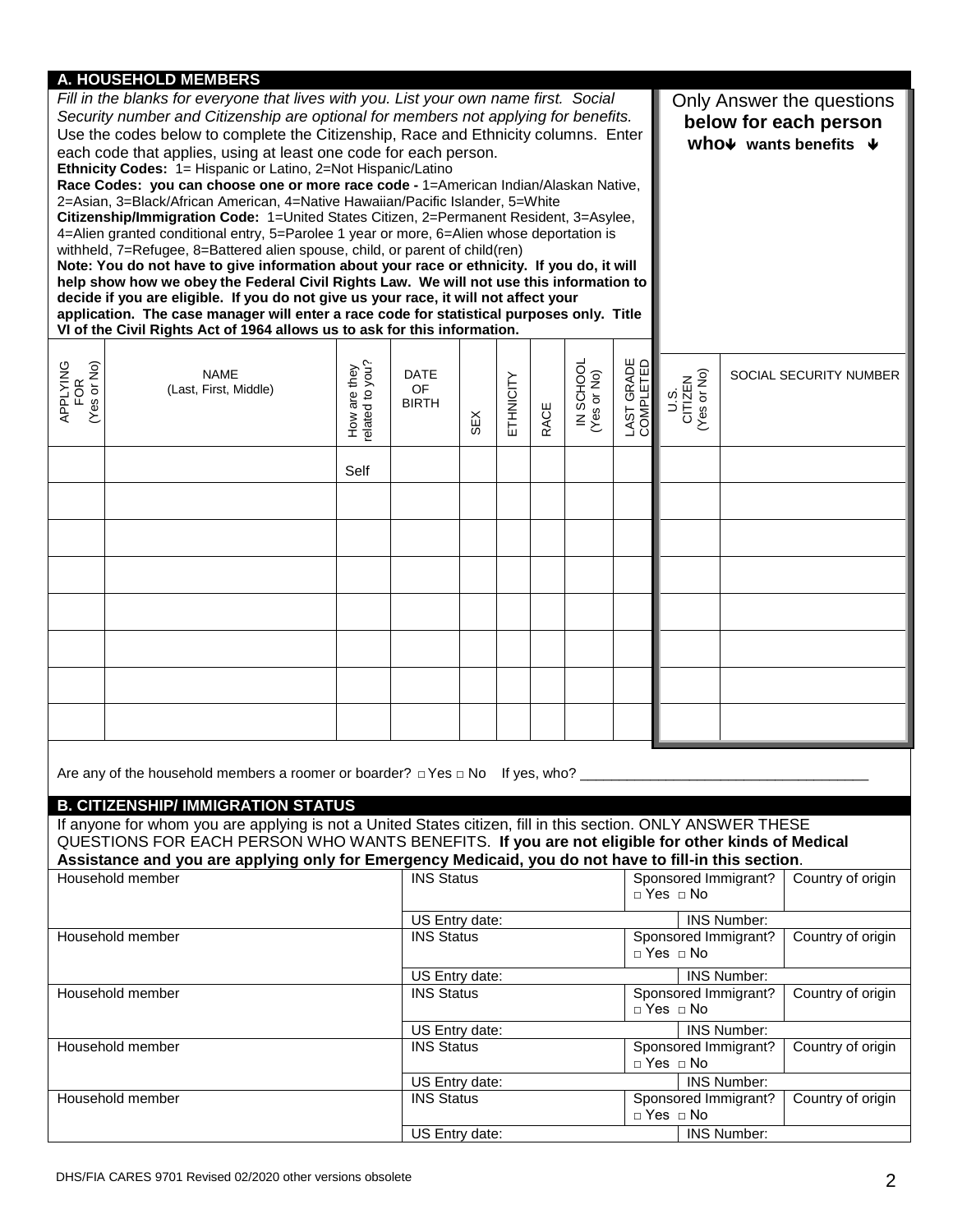# **A. HOUSEHOLD MEMBERS**

| Fill in the blanks for everyone that lives with you. List your own name first. Social<br>Security number and Citizenship are optional for members not applying for benefits.<br>Use the codes below to complete the Citizenship, Race and Ethnicity columns. Enter<br>each code that applies, using at least one code for each person.<br>Ethnicity Codes: 1= Hispanic or Latino, 2=Not Hispanic/Latino<br>Race Codes: you can choose one or more race code - 1=American Indian/Alaskan Native,<br>2=Asian, 3=Black/African American, 4=Native Hawaiian/Pacific Islander, 5=White<br>Citizenship/Immigration Code: 1=United States Citizen, 2=Permanent Resident, 3=Asylee,<br>4=Alien granted conditional entry, 5=Parolee 1 year or more, 6=Alien whose deportation is<br>withheld, 7=Refugee, 8=Battered alien spouse, child, or parent of child(ren)<br>Note: You do not have to give information about your race or ethnicity. If you do, it will<br>help show how we obey the Federal Civil Rights Law. We will not use this information to<br>decide if you are eligible. If you do not give us your race, it will not affect your<br>application. The case manager will enter a race code for statistical purposes only. Title<br>VI of the Civil Rights Act of 1964 allows us to ask for this information. |                                                                                                                                                                                                                 |                                 |                                     |     |           |      |                          |                         |                                              |                    | Only Answer the questions<br>below for each person<br>who $\nu$ wants benefits $\nu$ |
|---------------------------------------------------------------------------------------------------------------------------------------------------------------------------------------------------------------------------------------------------------------------------------------------------------------------------------------------------------------------------------------------------------------------------------------------------------------------------------------------------------------------------------------------------------------------------------------------------------------------------------------------------------------------------------------------------------------------------------------------------------------------------------------------------------------------------------------------------------------------------------------------------------------------------------------------------------------------------------------------------------------------------------------------------------------------------------------------------------------------------------------------------------------------------------------------------------------------------------------------------------------------------------------------------------------------|-----------------------------------------------------------------------------------------------------------------------------------------------------------------------------------------------------------------|---------------------------------|-------------------------------------|-----|-----------|------|--------------------------|-------------------------|----------------------------------------------|--------------------|--------------------------------------------------------------------------------------|
| APPLYING<br>FOR<br>(Yes or No)                                                                                                                                                                                                                                                                                                                                                                                                                                                                                                                                                                                                                                                                                                                                                                                                                                                                                                                                                                                                                                                                                                                                                                                                                                                                                      | NAME<br>(Last, First, Middle)                                                                                                                                                                                   | How are they<br>related to you? | DATE<br><b>OF</b><br>BIRTH          | SEX | ETHNICITY | RACE | IN SCHOOL<br>(Yes or No) | LAST GRADE<br>COMPLETED | U.S.<br>CITIZEN<br>(Yes or No)               |                    | SOCIAL SECURITY NUMBER                                                               |
|                                                                                                                                                                                                                                                                                                                                                                                                                                                                                                                                                                                                                                                                                                                                                                                                                                                                                                                                                                                                                                                                                                                                                                                                                                                                                                                     |                                                                                                                                                                                                                 | Self                            |                                     |     |           |      |                          |                         |                                              |                    |                                                                                      |
|                                                                                                                                                                                                                                                                                                                                                                                                                                                                                                                                                                                                                                                                                                                                                                                                                                                                                                                                                                                                                                                                                                                                                                                                                                                                                                                     |                                                                                                                                                                                                                 |                                 |                                     |     |           |      |                          |                         |                                              |                    |                                                                                      |
|                                                                                                                                                                                                                                                                                                                                                                                                                                                                                                                                                                                                                                                                                                                                                                                                                                                                                                                                                                                                                                                                                                                                                                                                                                                                                                                     |                                                                                                                                                                                                                 |                                 |                                     |     |           |      |                          |                         |                                              |                    |                                                                                      |
|                                                                                                                                                                                                                                                                                                                                                                                                                                                                                                                                                                                                                                                                                                                                                                                                                                                                                                                                                                                                                                                                                                                                                                                                                                                                                                                     |                                                                                                                                                                                                                 |                                 |                                     |     |           |      |                          |                         |                                              |                    |                                                                                      |
|                                                                                                                                                                                                                                                                                                                                                                                                                                                                                                                                                                                                                                                                                                                                                                                                                                                                                                                                                                                                                                                                                                                                                                                                                                                                                                                     |                                                                                                                                                                                                                 |                                 |                                     |     |           |      |                          |                         |                                              |                    |                                                                                      |
|                                                                                                                                                                                                                                                                                                                                                                                                                                                                                                                                                                                                                                                                                                                                                                                                                                                                                                                                                                                                                                                                                                                                                                                                                                                                                                                     |                                                                                                                                                                                                                 |                                 |                                     |     |           |      |                          |                         |                                              |                    |                                                                                      |
|                                                                                                                                                                                                                                                                                                                                                                                                                                                                                                                                                                                                                                                                                                                                                                                                                                                                                                                                                                                                                                                                                                                                                                                                                                                                                                                     |                                                                                                                                                                                                                 |                                 |                                     |     |           |      |                          |                         |                                              |                    |                                                                                      |
|                                                                                                                                                                                                                                                                                                                                                                                                                                                                                                                                                                                                                                                                                                                                                                                                                                                                                                                                                                                                                                                                                                                                                                                                                                                                                                                     |                                                                                                                                                                                                                 |                                 |                                     |     |           |      |                          |                         |                                              |                    |                                                                                      |
|                                                                                                                                                                                                                                                                                                                                                                                                                                                                                                                                                                                                                                                                                                                                                                                                                                                                                                                                                                                                                                                                                                                                                                                                                                                                                                                     | Are any of the household members a roomer or boarder? $\Box$ Yes $\Box$ No If yes, who?<br><b>B. CITIZENSHIP/ IMMIGRATION STATUS</b>                                                                            |                                 |                                     |     |           |      |                          |                         |                                              |                    |                                                                                      |
|                                                                                                                                                                                                                                                                                                                                                                                                                                                                                                                                                                                                                                                                                                                                                                                                                                                                                                                                                                                                                                                                                                                                                                                                                                                                                                                     | If anyone for whom you are applying is not a United States citizen, fill in this section. ONLY ANSWER THESE<br>QUESTIONS FOR EACH PERSON WHO WANTS BENEFITS. If you are not eligible for other kinds of Medical |                                 |                                     |     |           |      |                          |                         |                                              |                    |                                                                                      |
|                                                                                                                                                                                                                                                                                                                                                                                                                                                                                                                                                                                                                                                                                                                                                                                                                                                                                                                                                                                                                                                                                                                                                                                                                                                                                                                     | Assistance and you are applying only for Emergency Medicaid, you do not have to fill-in this section.<br>Household member                                                                                       |                                 | <b>INS Status</b>                   |     |           |      |                          |                         | Sponsored Immigrant?<br>$\Box$ Yes $\Box$ No |                    | Country of origin                                                                    |
|                                                                                                                                                                                                                                                                                                                                                                                                                                                                                                                                                                                                                                                                                                                                                                                                                                                                                                                                                                                                                                                                                                                                                                                                                                                                                                                     | Household member                                                                                                                                                                                                |                                 | US Entry date:<br><b>INS Status</b> |     |           |      |                          |                         | Sponsored Immigrant?                         | <b>INS Number:</b> | Country of origin                                                                    |
|                                                                                                                                                                                                                                                                                                                                                                                                                                                                                                                                                                                                                                                                                                                                                                                                                                                                                                                                                                                                                                                                                                                                                                                                                                                                                                                     |                                                                                                                                                                                                                 |                                 |                                     |     |           |      |                          | $\Box$ Yes $\Box$ No    | <b>INS Number:</b>                           |                    |                                                                                      |
|                                                                                                                                                                                                                                                                                                                                                                                                                                                                                                                                                                                                                                                                                                                                                                                                                                                                                                                                                                                                                                                                                                                                                                                                                                                                                                                     | Household member                                                                                                                                                                                                |                                 | US Entry date:<br><b>INS Status</b> |     |           |      |                          |                         | Sponsored Immigrant?<br>□ Yes □ No           |                    | Country of origin                                                                    |
|                                                                                                                                                                                                                                                                                                                                                                                                                                                                                                                                                                                                                                                                                                                                                                                                                                                                                                                                                                                                                                                                                                                                                                                                                                                                                                                     | Household member                                                                                                                                                                                                |                                 | US Entry date:<br><b>INS Status</b> |     |           |      |                          |                         | Sponsored Immigrant?                         | <b>INS Number:</b> | Country of origin                                                                    |
|                                                                                                                                                                                                                                                                                                                                                                                                                                                                                                                                                                                                                                                                                                                                                                                                                                                                                                                                                                                                                                                                                                                                                                                                                                                                                                                     |                                                                                                                                                                                                                 |                                 |                                     |     |           |      |                          |                         | □ Yes □ No                                   |                    |                                                                                      |
|                                                                                                                                                                                                                                                                                                                                                                                                                                                                                                                                                                                                                                                                                                                                                                                                                                                                                                                                                                                                                                                                                                                                                                                                                                                                                                                     | Household member                                                                                                                                                                                                |                                 | US Entry date:<br><b>INS Status</b> |     |           |      |                          |                         | Sponsored Immigrant?<br>□ Yes □ No           | <b>INS Number:</b> | Country of origin                                                                    |
|                                                                                                                                                                                                                                                                                                                                                                                                                                                                                                                                                                                                                                                                                                                                                                                                                                                                                                                                                                                                                                                                                                                                                                                                                                                                                                                     |                                                                                                                                                                                                                 | US Entry date:                  |                                     |     |           |      |                          |                         | INS Number:                                  |                    |                                                                                      |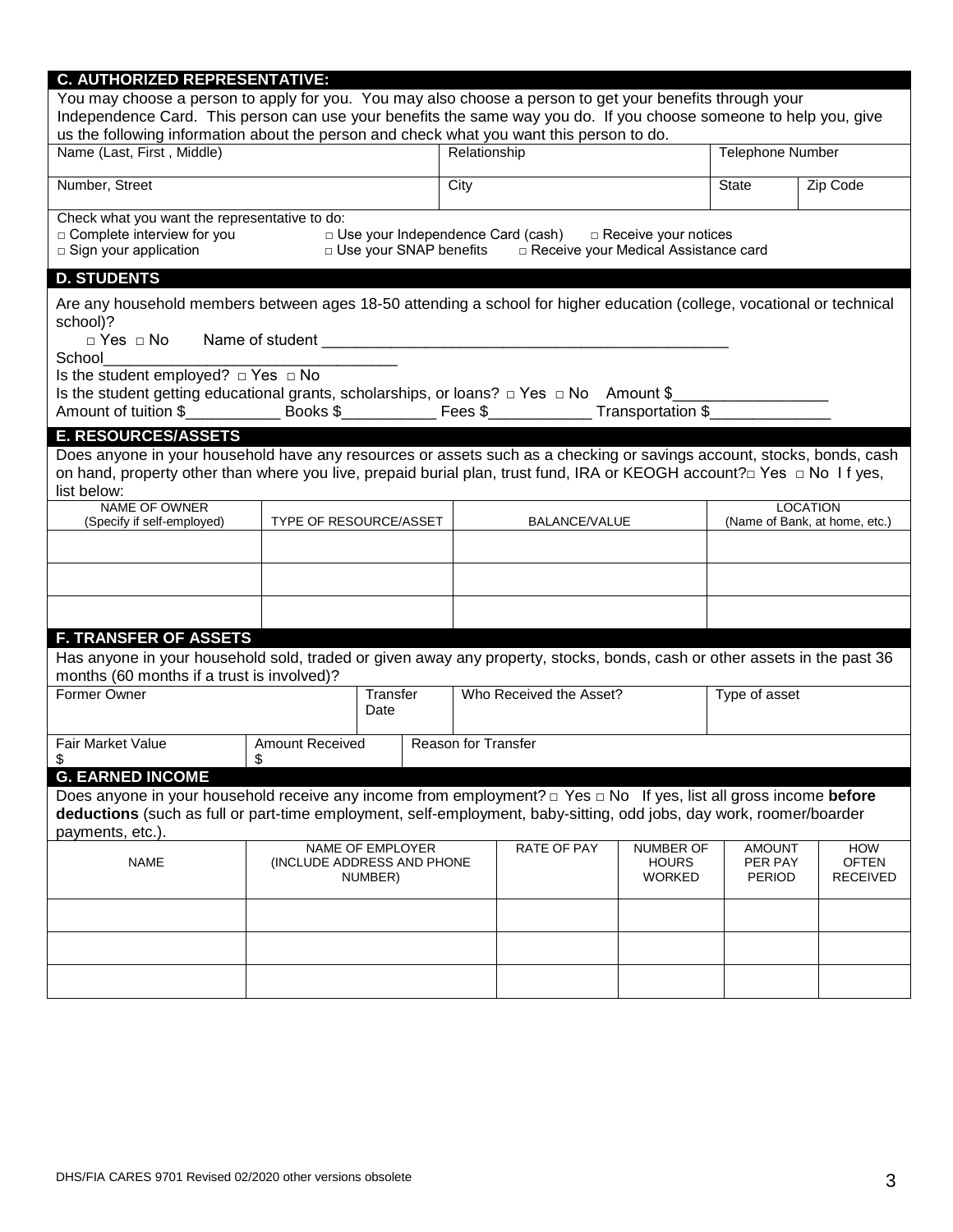| <b>C. AUTHORIZED REPRESENTATIVE:</b>                                                                                                                                                                                                                                                                                      |                                                                                                                                                                            |                          |                            |                                                                               |                        |                                               |                                                  |
|---------------------------------------------------------------------------------------------------------------------------------------------------------------------------------------------------------------------------------------------------------------------------------------------------------------------------|----------------------------------------------------------------------------------------------------------------------------------------------------------------------------|--------------------------|----------------------------|-------------------------------------------------------------------------------|------------------------|-----------------------------------------------|--------------------------------------------------|
| You may choose a person to apply for you. You may also choose a person to get your benefits through your<br>Independence Card. This person can use your benefits the same way you do. If you choose someone to help you, give<br>us the following information about the person and check what you want this person to do. |                                                                                                                                                                            |                          |                            |                                                                               |                        |                                               |                                                  |
| Name (Last, First, Middle)                                                                                                                                                                                                                                                                                                |                                                                                                                                                                            | Relationship             |                            |                                                                               | Telephone Number       |                                               |                                                  |
| Number, Street                                                                                                                                                                                                                                                                                                            |                                                                                                                                                                            |                          | City                       |                                                                               |                        | <b>State</b>                                  | Zip Code                                         |
| Check what you want the representative to do:<br>□ Complete interview for you<br>□ Sign your application                                                                                                                                                                                                                  |                                                                                                                                                                            | D Use your SNAP benefits |                            | □ Use your Independence Card (cash)<br>□ Receive your Medical Assistance card | □ Receive your notices |                                               |                                                  |
| <b>D. STUDENTS</b>                                                                                                                                                                                                                                                                                                        |                                                                                                                                                                            |                          |                            |                                                                               |                        |                                               |                                                  |
| Are any household members between ages 18-50 attending a school for higher education (college, vocational or technical<br>school)?<br>School                                                                                                                                                                              |                                                                                                                                                                            |                          |                            |                                                                               |                        |                                               |                                                  |
| Is the student employed? $\Box$ Yes $\Box$ No                                                                                                                                                                                                                                                                             |                                                                                                                                                                            |                          |                            |                                                                               |                        |                                               |                                                  |
| Is the student getting educational grants, scholarships, or loans? $\Box$ Yes $\Box$ No Amount \$                                                                                                                                                                                                                         |                                                                                                                                                                            |                          |                            |                                                                               |                        |                                               |                                                  |
| <b>E. RESOURCES/ASSETS</b>                                                                                                                                                                                                                                                                                                |                                                                                                                                                                            |                          |                            |                                                                               |                        |                                               |                                                  |
| Does anyone in your household have any resources or assets such as a checking or savings account, stocks, bonds, cash<br>on hand, property other than where you live, prepaid burial plan, trust fund, IRA or KEOGH account?□ Yes □ No If yes,<br>list below:                                                             |                                                                                                                                                                            |                          |                            |                                                                               |                        |                                               |                                                  |
| NAME OF OWNER<br>(Specify if self-employed)                                                                                                                                                                                                                                                                               | TYPE OF RESOURCE/ASSET                                                                                                                                                     |                          |                            | BALANCE/VALUE                                                                 |                        |                                               | <b>LOCATION</b><br>(Name of Bank, at home, etc.) |
|                                                                                                                                                                                                                                                                                                                           |                                                                                                                                                                            |                          |                            |                                                                               |                        |                                               |                                                  |
|                                                                                                                                                                                                                                                                                                                           |                                                                                                                                                                            |                          |                            |                                                                               |                        |                                               |                                                  |
|                                                                                                                                                                                                                                                                                                                           |                                                                                                                                                                            |                          |                            |                                                                               |                        |                                               |                                                  |
| <b>F. TRANSFER OF ASSETS</b>                                                                                                                                                                                                                                                                                              |                                                                                                                                                                            |                          |                            |                                                                               |                        |                                               |                                                  |
| Has anyone in your household sold, traded or given away any property, stocks, bonds, cash or other assets in the past 36<br>months (60 months if a trust is involved)?                                                                                                                                                    |                                                                                                                                                                            |                          |                            |                                                                               |                        |                                               |                                                  |
| Former Owner                                                                                                                                                                                                                                                                                                              |                                                                                                                                                                            | Transfer<br>Date         |                            | Who Received the Asset?                                                       |                        | Type of asset                                 |                                                  |
| Fair Market Value<br>\$                                                                                                                                                                                                                                                                                                   | <b>Amount Received</b><br>\$                                                                                                                                               |                          | <b>Reason for Transfer</b> |                                                                               |                        |                                               |                                                  |
| <b>G. EARNED INCOME</b>                                                                                                                                                                                                                                                                                                   |                                                                                                                                                                            |                          |                            |                                                                               |                        |                                               |                                                  |
| Does anyone in your household receive any income from employment? $\Box$ Yes $\Box$ No If yes, list all gross income before                                                                                                                                                                                               |                                                                                                                                                                            |                          |                            |                                                                               |                        |                                               |                                                  |
| deductions (such as full or part-time employment, self-employment, baby-sitting, odd jobs, day work, roomer/boarder                                                                                                                                                                                                       |                                                                                                                                                                            |                          |                            |                                                                               |                        |                                               |                                                  |
| payments, etc.).                                                                                                                                                                                                                                                                                                          |                                                                                                                                                                            |                          |                            |                                                                               |                        |                                               |                                                  |
| <b>NAME</b>                                                                                                                                                                                                                                                                                                               | <b>RATE OF PAY</b><br>NAME OF EMPLOYER<br><b>NUMBER OF</b><br><b>AMOUNT</b><br>PER PAY<br>(INCLUDE ADDRESS AND PHONE<br><b>HOURS</b><br><b>WORKED</b><br>PERIOD<br>NUMBER) |                          |                            |                                                                               |                        | <b>HOW</b><br><b>OFTEN</b><br><b>RECEIVED</b> |                                                  |
|                                                                                                                                                                                                                                                                                                                           |                                                                                                                                                                            |                          |                            |                                                                               |                        |                                               |                                                  |
|                                                                                                                                                                                                                                                                                                                           |                                                                                                                                                                            |                          |                            |                                                                               |                        |                                               |                                                  |
|                                                                                                                                                                                                                                                                                                                           |                                                                                                                                                                            |                          |                            |                                                                               |                        |                                               |                                                  |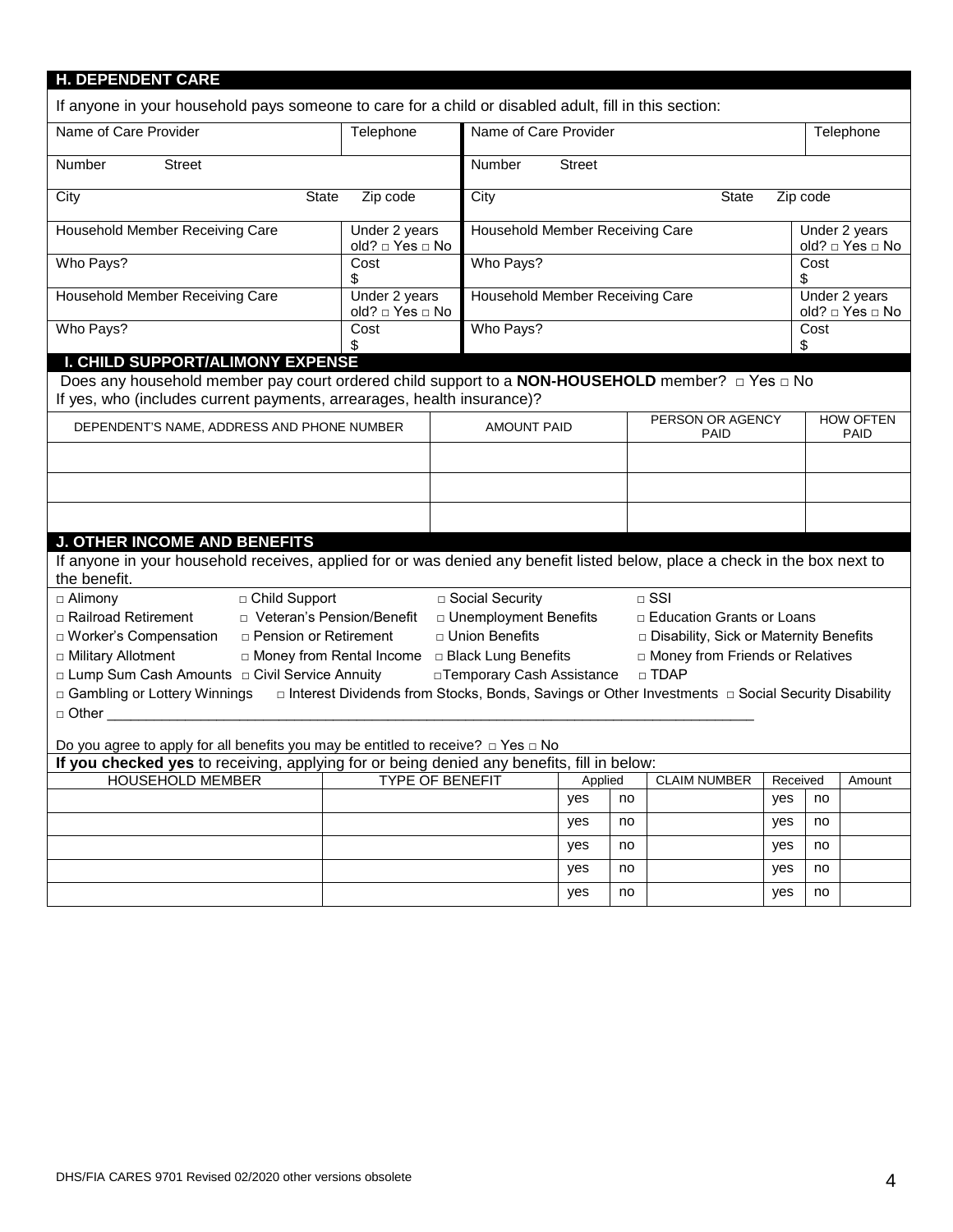| <b>H. DEPENDENT CARE</b><br>If anyone in your household pays someone to care for a child or disabled adult, fill in this section:          |                                                  |                                                       |     |    |                                                                                                    |          |                                 |                                  |
|--------------------------------------------------------------------------------------------------------------------------------------------|--------------------------------------------------|-------------------------------------------------------|-----|----|----------------------------------------------------------------------------------------------------|----------|---------------------------------|----------------------------------|
| Name of Care Provider                                                                                                                      | Telephone                                        | Name of Care Provider                                 |     |    |                                                                                                    |          |                                 | Telephone                        |
| Number<br><b>Street</b>                                                                                                                    |                                                  | <b>Street</b><br>Number                               |     |    |                                                                                                    |          |                                 |                                  |
|                                                                                                                                            |                                                  |                                                       |     |    |                                                                                                    |          |                                 |                                  |
| City<br><b>State</b>                                                                                                                       | Zip code                                         | City                                                  |     |    | <b>State</b>                                                                                       | Zip code |                                 |                                  |
| Household Member Receiving Care                                                                                                            | Under 2 years<br>old? □ Yes □ No                 | Household Member Receiving Care                       |     |    |                                                                                                    |          |                                 | Under 2 years<br>old? □ Yes □ No |
| Who Pays?                                                                                                                                  | Cost<br>\$                                       | Who Pays?                                             |     |    |                                                                                                    |          | Cost<br>\$                      |                                  |
| Household Member Receiving Care                                                                                                            | Under 2 years<br>old? □ Yes □ No                 | Household Member Receiving Care                       |     |    |                                                                                                    |          |                                 | Under 2 years<br>old? □ Yes □ No |
| Who Pays?                                                                                                                                  | Cost<br>\$                                       | Who Pays?                                             |     |    |                                                                                                    |          | Cost<br>\$                      |                                  |
| I. CHILD SUPPORT/ALIMONY EXPENSE                                                                                                           |                                                  |                                                       |     |    |                                                                                                    |          |                                 |                                  |
| Does any household member pay court ordered child support to a <b>NON-HOUSEHOLD</b> member? $\Box$ Yes $\Box$ No                           |                                                  |                                                       |     |    |                                                                                                    |          |                                 |                                  |
| If yes, who (includes current payments, arrearages, health insurance)?                                                                     |                                                  |                                                       |     |    |                                                                                                    |          |                                 |                                  |
| DEPENDENT'S NAME, ADDRESS AND PHONE NUMBER                                                                                                 |                                                  | PERSON OR AGENCY<br><b>AMOUNT PAID</b><br><b>PAID</b> |     |    |                                                                                                    |          | <b>HOW OFTEN</b><br><b>PAID</b> |                                  |
|                                                                                                                                            |                                                  |                                                       |     |    |                                                                                                    |          |                                 |                                  |
|                                                                                                                                            |                                                  |                                                       |     |    |                                                                                                    |          |                                 |                                  |
|                                                                                                                                            |                                                  |                                                       |     |    |                                                                                                    |          |                                 |                                  |
| <b>J. OTHER INCOME AND BENEFITS</b>                                                                                                        |                                                  |                                                       |     |    |                                                                                                    |          |                                 |                                  |
| If anyone in your household receives, applied for or was denied any benefit listed below, place a check in the box next to<br>the benefit. |                                                  |                                                       |     |    |                                                                                                    |          |                                 |                                  |
| □ Child Support<br>$\Box$ Alimony                                                                                                          |                                                  | □ Social Security                                     |     |    | $\Box$ SSI                                                                                         |          |                                 |                                  |
| □ Railroad Retirement<br>□ Veteran's Pension/Benefit                                                                                       |                                                  | □ Unemployment Benefits                               |     |    | □ Education Grants or Loans                                                                        |          |                                 |                                  |
| □ Worker's Compensation<br>□ Pension or Retirement                                                                                         |                                                  | □ Union Benefits                                      |     |    | Disability, Sick or Maternity Benefits                                                             |          |                                 |                                  |
| □ Military Allotment                                                                                                                       | □ Money from Rental Income □ Black Lung Benefits |                                                       |     |    | In Money from Friends or Relatives                                                                 |          |                                 |                                  |
| □ Lump Sum Cash Amounts □ Civil Service Annuity                                                                                            |                                                  | □ Temporary Cash Assistance                           |     |    | □ TDAP                                                                                             |          |                                 |                                  |
| □ Gambling or Lottery Winnings                                                                                                             |                                                  |                                                       |     |    | □ Interest Dividends from Stocks, Bonds, Savings or Other Investments □ Social Security Disability |          |                                 |                                  |
| $\Box$ Other $\Box$ Other $\Box$                                                                                                           |                                                  |                                                       |     |    |                                                                                                    |          |                                 |                                  |
| Do you agree to apply for all benefits you may be entitled to receive? $\Box$ Yes $\Box$ No                                                |                                                  |                                                       |     |    |                                                                                                    |          |                                 |                                  |
| If you checked yes to receiving, applying for or being denied any benefits, fill in below:                                                 |                                                  |                                                       |     |    |                                                                                                    |          |                                 |                                  |
| <b>HOUSEHOLD MEMBER</b><br><b>TYPE OF BENEFIT</b><br>Applied<br><b>CLAIM NUMBER</b><br>Received                                            |                                                  |                                                       |     |    |                                                                                                    |          | Amount                          |                                  |
|                                                                                                                                            |                                                  |                                                       | yes | no |                                                                                                    | yes      | no                              |                                  |
|                                                                                                                                            |                                                  |                                                       | yes | no |                                                                                                    | yes      | no                              |                                  |
|                                                                                                                                            |                                                  |                                                       | yes | no |                                                                                                    | yes      | no                              |                                  |
|                                                                                                                                            |                                                  |                                                       | yes | no |                                                                                                    | yes      | no                              |                                  |

yes no yes no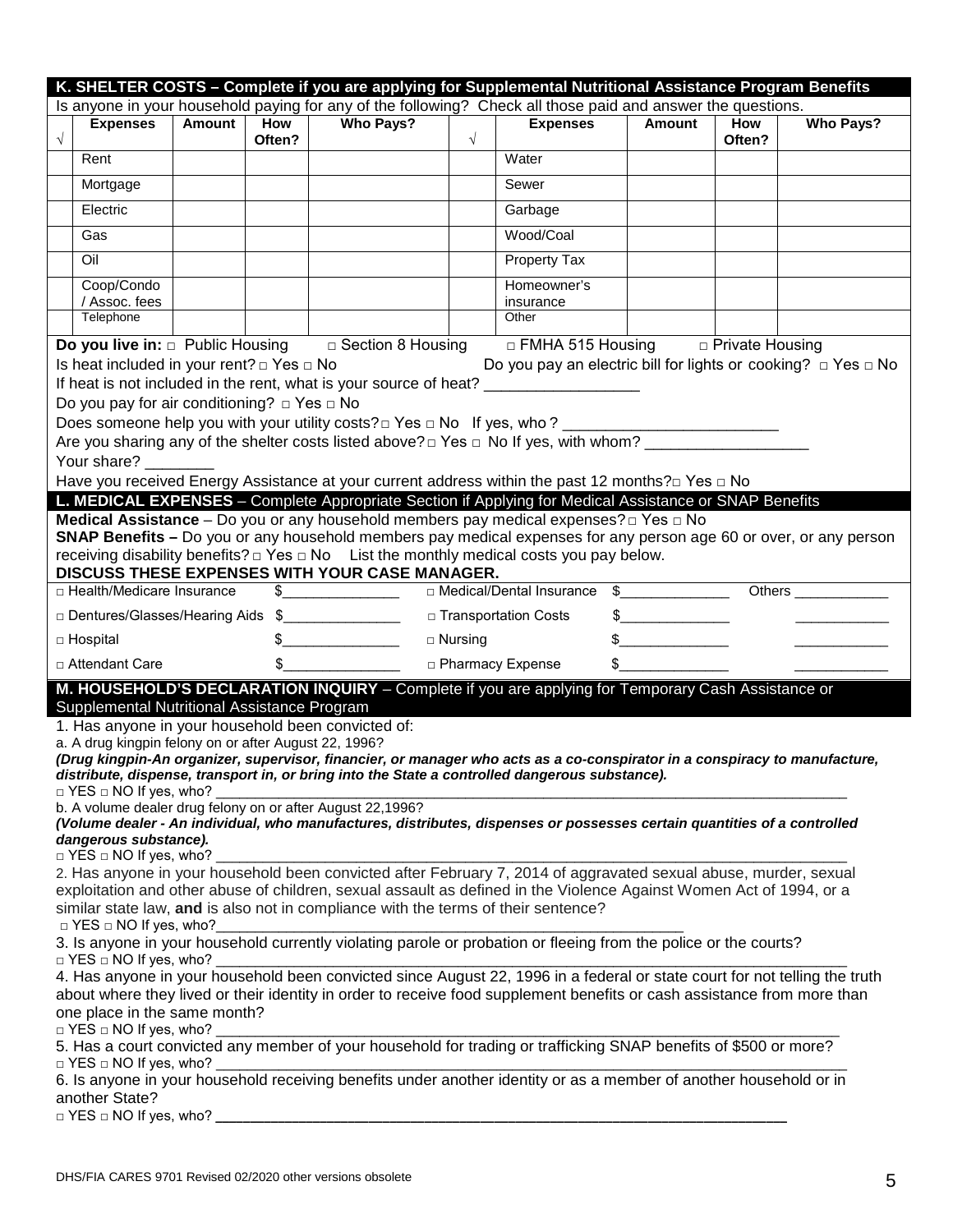|            | K. SHELTER COSTS - Complete if you are applying for Supplemental Nutritional Assistance Program Benefits<br>Is anyone in your household paying for any of the following? Check all those paid and answer the questions.                                                                                                                                                                                                                                                                                                                                                                                                                                                                                                                                                                                                                                                                                                                                                                                                                                                                                                        |        |               |                                                                                                                                                                                                                                                                          |                |                            |               |                      |                    |
|------------|--------------------------------------------------------------------------------------------------------------------------------------------------------------------------------------------------------------------------------------------------------------------------------------------------------------------------------------------------------------------------------------------------------------------------------------------------------------------------------------------------------------------------------------------------------------------------------------------------------------------------------------------------------------------------------------------------------------------------------------------------------------------------------------------------------------------------------------------------------------------------------------------------------------------------------------------------------------------------------------------------------------------------------------------------------------------------------------------------------------------------------|--------|---------------|--------------------------------------------------------------------------------------------------------------------------------------------------------------------------------------------------------------------------------------------------------------------------|----------------|----------------------------|---------------|----------------------|--------------------|
|            |                                                                                                                                                                                                                                                                                                                                                                                                                                                                                                                                                                                                                                                                                                                                                                                                                                                                                                                                                                                                                                                                                                                                |        |               |                                                                                                                                                                                                                                                                          |                |                            |               |                      |                    |
| $\sqrt{ }$ | <b>Expenses</b>                                                                                                                                                                                                                                                                                                                                                                                                                                                                                                                                                                                                                                                                                                                                                                                                                                                                                                                                                                                                                                                                                                                | Amount | How<br>Often? | <b>Who Pays?</b>                                                                                                                                                                                                                                                         | $\sqrt{ }$     | <b>Expenses</b>            | Amount        | <b>How</b><br>Often? | <b>Who Pays?</b>   |
|            | Rent                                                                                                                                                                                                                                                                                                                                                                                                                                                                                                                                                                                                                                                                                                                                                                                                                                                                                                                                                                                                                                                                                                                           |        |               |                                                                                                                                                                                                                                                                          |                | Water                      |               |                      |                    |
|            | Mortgage                                                                                                                                                                                                                                                                                                                                                                                                                                                                                                                                                                                                                                                                                                                                                                                                                                                                                                                                                                                                                                                                                                                       |        |               |                                                                                                                                                                                                                                                                          |                | Sewer                      |               |                      |                    |
|            | Electric                                                                                                                                                                                                                                                                                                                                                                                                                                                                                                                                                                                                                                                                                                                                                                                                                                                                                                                                                                                                                                                                                                                       |        |               |                                                                                                                                                                                                                                                                          |                | Garbage                    |               |                      |                    |
|            | Gas                                                                                                                                                                                                                                                                                                                                                                                                                                                                                                                                                                                                                                                                                                                                                                                                                                                                                                                                                                                                                                                                                                                            |        |               |                                                                                                                                                                                                                                                                          |                | Wood/Coal                  |               |                      |                    |
|            | Oil                                                                                                                                                                                                                                                                                                                                                                                                                                                                                                                                                                                                                                                                                                                                                                                                                                                                                                                                                                                                                                                                                                                            |        |               |                                                                                                                                                                                                                                                                          |                | Property Tax               |               |                      |                    |
|            | Coop/Condo                                                                                                                                                                                                                                                                                                                                                                                                                                                                                                                                                                                                                                                                                                                                                                                                                                                                                                                                                                                                                                                                                                                     |        |               |                                                                                                                                                                                                                                                                          |                | Homeowner's                |               |                      |                    |
|            | / Assoc. fees<br>Telephone                                                                                                                                                                                                                                                                                                                                                                                                                                                                                                                                                                                                                                                                                                                                                                                                                                                                                                                                                                                                                                                                                                     |        |               |                                                                                                                                                                                                                                                                          |                | insurance<br>Other         |               |                      |                    |
|            | <b>Do you live in:</b> $\Box$ Public Housing<br>□ Section 8 Housing<br>$\Box$ FMHA 515 Housing $\Box$ Private Housing<br>Is heat included in your rent? $\Box$ Yes $\Box$ No<br>Do you pay an electric bill for lights or cooking? $\Box$ Yes $\Box$ No<br>If heat is not included in the rent, what is your source of heat? _______________<br>Do you pay for air conditioning? $\Box$ Yes $\Box$ No<br>Does someone help you with your utility costs? $\square$ Yes $\square$ No If yes, who? ____<br>Your share?<br>Have you received Energy Assistance at your current address within the past 12 months?□ Yes □ No<br>L. MEDICAL EXPENSES - Complete Appropriate Section if Applying for Medical Assistance or SNAP Benefits<br>Medical Assistance – Do you or any household members pay medical expenses? $\Box$ Yes $\Box$ No                                                                                                                                                                                                                                                                                           |        |               |                                                                                                                                                                                                                                                                          |                |                            |               |                      |                    |
|            |                                                                                                                                                                                                                                                                                                                                                                                                                                                                                                                                                                                                                                                                                                                                                                                                                                                                                                                                                                                                                                                                                                                                |        |               | SNAP Benefits - Do you or any household members pay medical expenses for any person age 60 or over, or any person<br>receiving disability benefits? $\Box$ Yes $\Box$ No List the monthly medical costs you pay below.<br>DISCUSS THESE EXPENSES WITH YOUR CASE MANAGER. |                |                            |               |                      |                    |
|            | □ Health/Medicare Insurance                                                                                                                                                                                                                                                                                                                                                                                                                                                                                                                                                                                                                                                                                                                                                                                                                                                                                                                                                                                                                                                                                                    |        |               | $\frac{1}{2}$                                                                                                                                                                                                                                                            |                | □ Medical/Dental Insurance | $\frac{1}{2}$ |                      | Others ___________ |
|            | Dentures/Glasses/Hearing Aids \$                                                                                                                                                                                                                                                                                                                                                                                                                                                                                                                                                                                                                                                                                                                                                                                                                                                                                                                                                                                                                                                                                               |        |               |                                                                                                                                                                                                                                                                          |                | □ Transportation Costs     | $\frac{1}{2}$ |                      |                    |
|            | $\Box$ Hospital                                                                                                                                                                                                                                                                                                                                                                                                                                                                                                                                                                                                                                                                                                                                                                                                                                                                                                                                                                                                                                                                                                                |        |               | $\frac{1}{2}$                                                                                                                                                                                                                                                            | $\Box$ Nursing |                            | $\sim$        |                      |                    |
|            | □ Attendant Care                                                                                                                                                                                                                                                                                                                                                                                                                                                                                                                                                                                                                                                                                                                                                                                                                                                                                                                                                                                                                                                                                                               |        | \$            |                                                                                                                                                                                                                                                                          |                | □ Pharmacy Expense         | \$            |                      |                    |
|            |                                                                                                                                                                                                                                                                                                                                                                                                                                                                                                                                                                                                                                                                                                                                                                                                                                                                                                                                                                                                                                                                                                                                |        |               |                                                                                                                                                                                                                                                                          |                |                            |               |                      |                    |
|            | M. HOUSEHOLD'S DECLARATION INQUIRY - Complete if you are applying for Temporary Cash Assistance or<br>Supplemental Nutritional Assistance Program<br>1. Has anyone in your household been convicted of:<br>a. A drug kingpin felony on or after August 22, 1996?<br>(Drug kingpin-An organizer, supervisor, financier, or manager who acts as a co-conspirator in a conspiracy to manufacture,<br>distribute, dispense, transport in, or bring into the State a controlled dangerous substance).<br>$\Box$ YES $\Box$ NO If yes, who?<br>b. A volume dealer drug felony on or after August 22,1996?<br>(Volume dealer - An individual, who manufactures, distributes, dispenses or possesses certain quantities of a controlled<br>dangerous substance).<br>$\Box$ YES $\Box$ NO If yes, who?<br>2. Has anyone in your household been convicted after February 7, 2014 of aggravated sexual abuse, murder, sexual<br>exploitation and other abuse of children, sexual assault as defined in the Violence Against Women Act of 1994, or a<br>similar state law, and is also not in compliance with the terms of their sentence? |        |               |                                                                                                                                                                                                                                                                          |                |                            |               |                      |                    |
|            | $\Box$ YES $\Box$ NO If yes, who?<br>3. Is anyone in your household currently violating parole or probation or fleeing from the police or the courts?<br>□ YES □ NO If yes, who?<br>4. Has anyone in your household been convicted since August 22, 1996 in a federal or state court for not telling the truth<br>about where they lived or their identity in order to receive food supplement benefits or cash assistance from more than<br>one place in the same month?<br>$\Box$ YES $\Box$ NO If yes, who?<br>5. Has a court convicted any member of your household for trading or trafficking SNAP benefits of \$500 or more?                                                                                                                                                                                                                                                                                                                                                                                                                                                                                             |        |               |                                                                                                                                                                                                                                                                          |                |                            |               |                      |                    |
|            | $\Box$ YES $\Box$ NO If yes, who?                                                                                                                                                                                                                                                                                                                                                                                                                                                                                                                                                                                                                                                                                                                                                                                                                                                                                                                                                                                                                                                                                              |        |               | 6. Is anyone in your household receiving benefits under another identity or as a member of another household or in                                                                                                                                                       |                |                            |               |                      |                    |
|            | another State?<br>$\Box$ YES $\Box$ NO If yes, who?                                                                                                                                                                                                                                                                                                                                                                                                                                                                                                                                                                                                                                                                                                                                                                                                                                                                                                                                                                                                                                                                            |        |               |                                                                                                                                                                                                                                                                          |                |                            |               |                      |                    |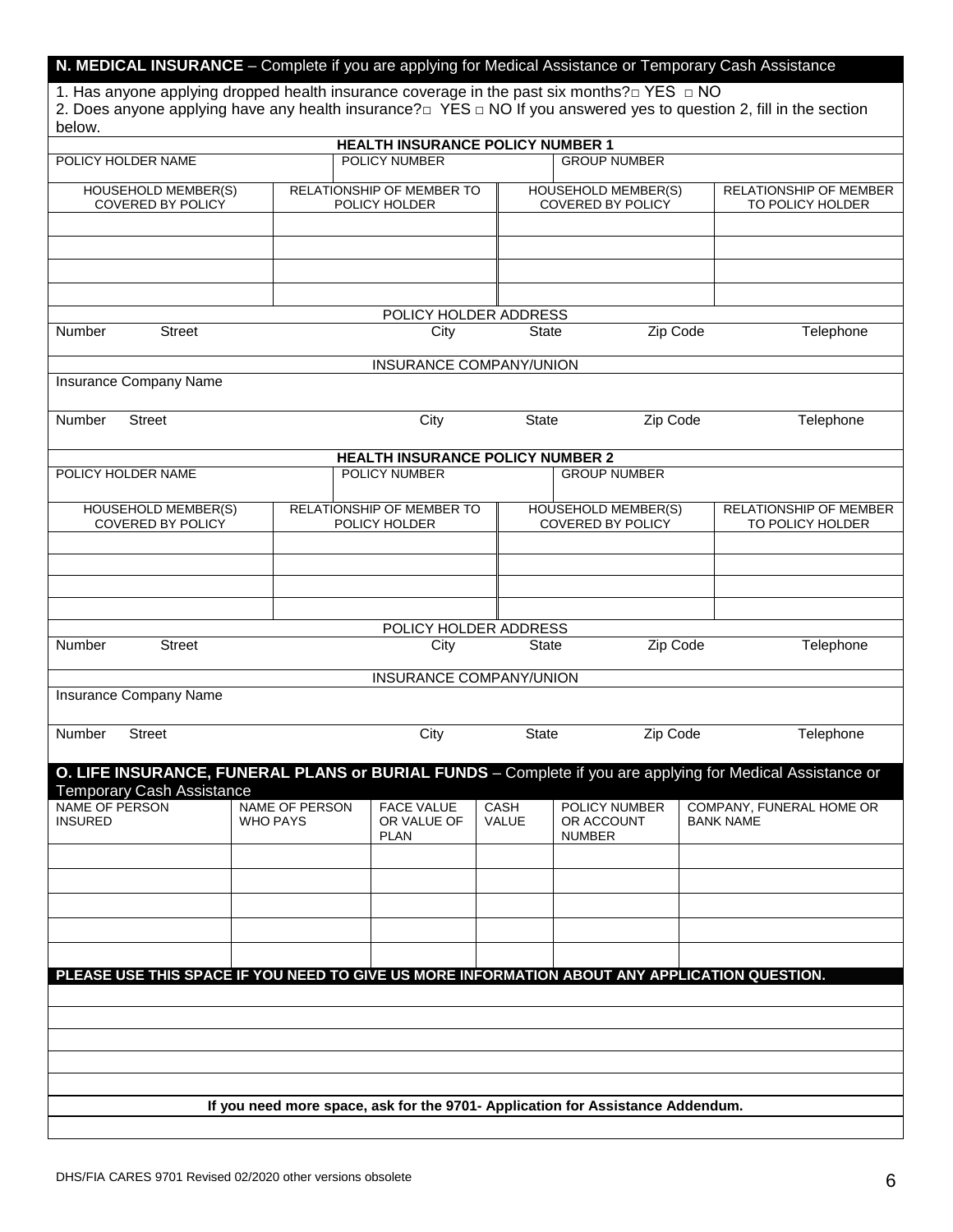| N. MEDICAL INSURANCE - Complete if you are applying for Medical Assistance or Temporary Cash Assistance |  |  |
|---------------------------------------------------------------------------------------------------------|--|--|
|---------------------------------------------------------------------------------------------------------|--|--|

1. Has anyone applying dropped health insurance coverage in the past six months?□ YES □ NO 2. Does anyone applying have any health insurance? $\sqsupset$  YES  $\sqsupset$  NO If you answered yes to question 2, fill in the section below.

| טיטיש.                                                                                                    |                                   |                                                                                |               |               |                                                 |                  |                                                   |
|-----------------------------------------------------------------------------------------------------------|-----------------------------------|--------------------------------------------------------------------------------|---------------|---------------|-------------------------------------------------|------------------|---------------------------------------------------|
|                                                                                                           |                                   | HEALTH INSURANCE POLICY NUMBER 1<br>POLICY NUMBER                              |               |               | <b>GROUP NUMBER</b>                             |                  |                                                   |
| POLICY HOLDER NAME                                                                                        |                                   |                                                                                |               |               |                                                 |                  |                                                   |
| <b>HOUSEHOLD MEMBER(S)</b>                                                                                |                                   | <b>RELATIONSHIP OF MEMBER TO</b>                                               |               |               | <b>HOUSEHOLD MEMBER(S)</b>                      |                  | <b>RELATIONSHIP OF MEMBER</b>                     |
| COVERED BY POLICY                                                                                         |                                   | POLICY HOLDER                                                                  |               |               | <b>COVERED BY POLICY</b>                        |                  | TO POLICY HOLDER                                  |
|                                                                                                           |                                   |                                                                                |               |               |                                                 |                  |                                                   |
|                                                                                                           |                                   |                                                                                |               |               |                                                 |                  |                                                   |
|                                                                                                           |                                   |                                                                                |               |               |                                                 |                  |                                                   |
|                                                                                                           |                                   |                                                                                |               |               |                                                 |                  |                                                   |
|                                                                                                           |                                   | POLICY HOLDER ADDRESS                                                          |               |               |                                                 |                  |                                                   |
| Number<br><b>Street</b>                                                                                   |                                   | City                                                                           |               | <b>State</b>  | Zip Code                                        |                  | Telephone                                         |
|                                                                                                           |                                   | INSURANCE COMPANY/UNION                                                        |               |               |                                                 |                  |                                                   |
| <b>Insurance Company Name</b>                                                                             |                                   |                                                                                |               |               |                                                 |                  |                                                   |
| <b>Street</b><br>Number                                                                                   |                                   | City                                                                           |               | <b>State</b>  | Zip Code                                        |                  | Telephone                                         |
|                                                                                                           |                                   |                                                                                |               |               |                                                 |                  |                                                   |
|                                                                                                           |                                   | <b>HEALTH INSURANCE POLICY NUMBER 2</b>                                        |               |               |                                                 |                  |                                                   |
| POLICY HOLDER NAME                                                                                        |                                   | <b>POLICY NUMBER</b>                                                           |               |               | <b>GROUP NUMBER</b>                             |                  |                                                   |
|                                                                                                           |                                   |                                                                                |               |               |                                                 |                  |                                                   |
| <b>HOUSEHOLD MEMBER(S)</b><br>COVERED BY POLICY                                                           |                                   | <b>RELATIONSHIP OF MEMBER TO</b><br>POLICY HOLDER                              |               |               | <b>HOUSEHOLD MEMBER(S)</b><br>COVERED BY POLICY |                  | <b>RELATIONSHIP OF MEMBER</b><br>TO POLICY HOLDER |
|                                                                                                           |                                   |                                                                                |               |               |                                                 |                  |                                                   |
|                                                                                                           |                                   |                                                                                |               |               |                                                 |                  |                                                   |
|                                                                                                           |                                   |                                                                                |               |               |                                                 |                  |                                                   |
|                                                                                                           |                                   |                                                                                |               |               |                                                 |                  |                                                   |
|                                                                                                           |                                   | POLICY HOLDER ADDRESS                                                          |               |               |                                                 |                  |                                                   |
| Number<br><b>Street</b>                                                                                   |                                   | City                                                                           |               | <b>State</b>  | Zip Code                                        |                  | Telephone                                         |
|                                                                                                           |                                   |                                                                                |               |               |                                                 |                  |                                                   |
| Insurance Company Name                                                                                    |                                   | INSURANCE COMPANY/UNION                                                        |               |               |                                                 |                  |                                                   |
|                                                                                                           |                                   |                                                                                |               |               |                                                 |                  |                                                   |
| Street<br>Number                                                                                          |                                   | City                                                                           |               | State         | Zip Code                                        |                  | Telephone                                         |
|                                                                                                           |                                   |                                                                                |               |               |                                                 |                  |                                                   |
| O. LIFE INSURANCE, FUNERAL PLANS or BURIAL FUNDS - Complete if you are applying for Medical Assistance or |                                   |                                                                                |               |               |                                                 |                  |                                                   |
| <b>Temporary Cash Assistance</b>                                                                          |                                   |                                                                                |               |               |                                                 |                  |                                                   |
| NAME OF PERSON<br><b>INSURED</b>                                                                          | NAME OF PERSON<br><b>WHO PAYS</b> | <b>FACE VALUE</b><br>OR VALUE OF                                               | CASH<br>VALUE |               | POLICY NUMBER<br>OR ACCOUNT                     | <b>BANK NAME</b> | COMPANY, FUNERAL HOME OR                          |
|                                                                                                           |                                   | <b>PLAN</b>                                                                    |               | <b>NUMBER</b> |                                                 |                  |                                                   |
|                                                                                                           |                                   |                                                                                |               |               |                                                 |                  |                                                   |
|                                                                                                           |                                   |                                                                                |               |               |                                                 |                  |                                                   |
|                                                                                                           |                                   |                                                                                |               |               |                                                 |                  |                                                   |
|                                                                                                           |                                   |                                                                                |               |               |                                                 |                  |                                                   |
|                                                                                                           |                                   |                                                                                |               |               |                                                 |                  |                                                   |
| PLEASE USE THIS SPACE IF YOU NEED TO GIVE US MORE INFORMATION ABOUT ANY APPLICATION QUESTION.             |                                   |                                                                                |               |               |                                                 |                  |                                                   |
|                                                                                                           |                                   |                                                                                |               |               |                                                 |                  |                                                   |
|                                                                                                           |                                   |                                                                                |               |               |                                                 |                  |                                                   |
|                                                                                                           |                                   |                                                                                |               |               |                                                 |                  |                                                   |
|                                                                                                           |                                   |                                                                                |               |               |                                                 |                  |                                                   |
|                                                                                                           |                                   |                                                                                |               |               |                                                 |                  |                                                   |
|                                                                                                           |                                   |                                                                                |               |               |                                                 |                  |                                                   |
|                                                                                                           |                                   | If you need more space, ask for the 9701- Application for Assistance Addendum. |               |               |                                                 |                  |                                                   |
|                                                                                                           |                                   |                                                                                |               |               |                                                 |                  |                                                   |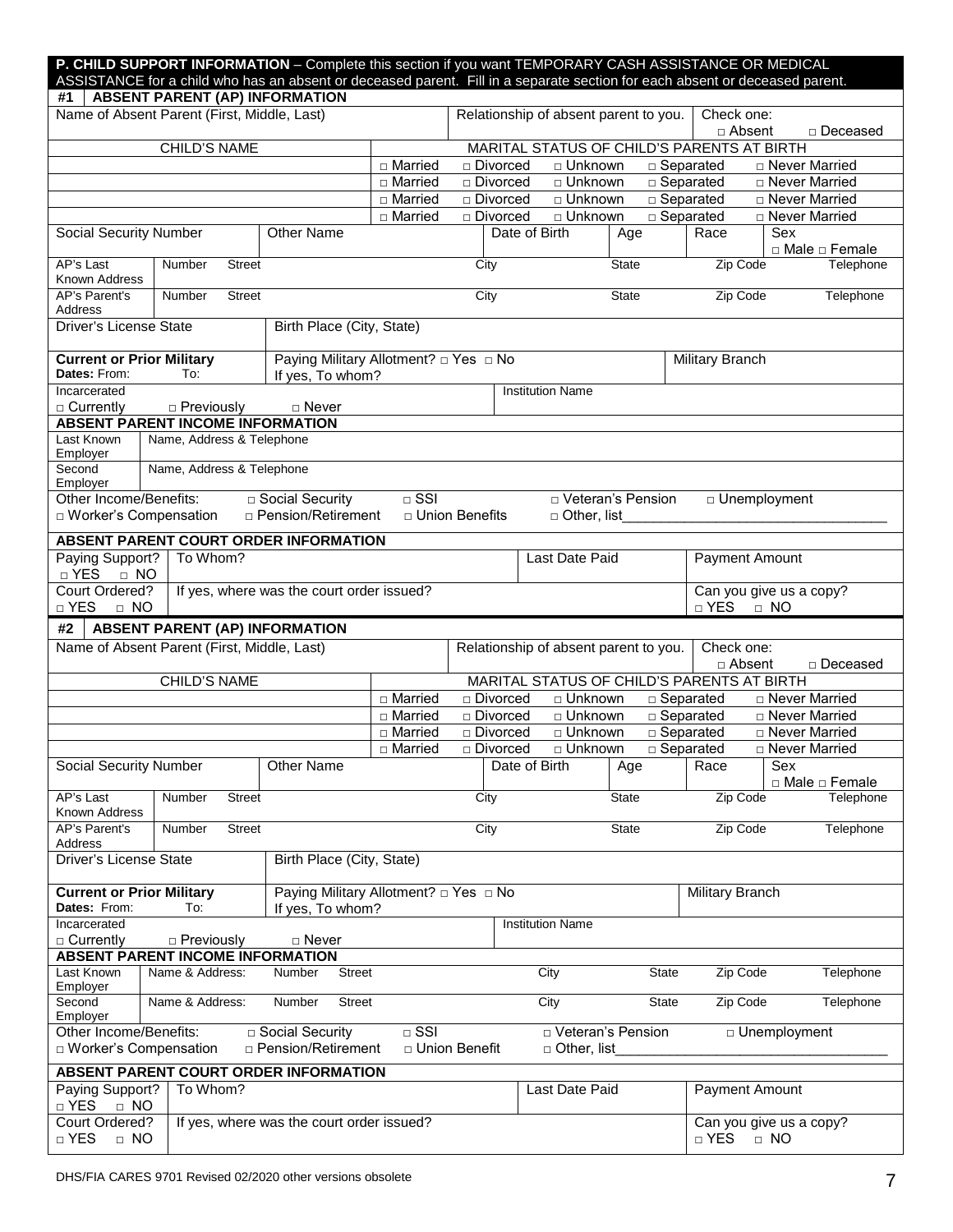|                                                        |                                                              | <b>P. CHILD SUPPORT INFORMATION</b> – Complete this section if you want TEMPORARY CASH ASSISTANCE OR MEDICAL<br>ASSISTANCE for a child who has an absent or deceased parent. Fill in a separate section for each absent or deceased parent. |                        |                          |                         |                                       |                                                    |                                    |
|--------------------------------------------------------|--------------------------------------------------------------|---------------------------------------------------------------------------------------------------------------------------------------------------------------------------------------------------------------------------------------------|------------------------|--------------------------|-------------------------|---------------------------------------|----------------------------------------------------|------------------------------------|
| #1                                                     | <b>ABSENT PARENT (AP) INFORMATION</b>                        |                                                                                                                                                                                                                                             |                        |                          |                         |                                       |                                                    |                                    |
|                                                        | Name of Absent Parent (First, Middle, Last)                  |                                                                                                                                                                                                                                             |                        |                          |                         | Relationship of absent parent to you. | Check one:<br>□ Absent                             | □ Deceased                         |
|                                                        | <b>CHILD'S NAME</b>                                          |                                                                                                                                                                                                                                             |                        |                          |                         |                                       | MARITAL STATUS OF CHILD'S PARENTS AT BIRTH         |                                    |
|                                                        |                                                              |                                                                                                                                                                                                                                             | □ Married              | □ Divorced               |                         | □ Unknown                             | $\square$ Separated                                | □ Never Married                    |
|                                                        |                                                              |                                                                                                                                                                                                                                             | □ Married<br>□ Married | □ Divorced<br>□ Divorced |                         | □ Unknown<br>□ Unknown                | $\square$ Separated<br>$\overline{\Box}$ Separated | □ Never Married<br>□ Never Married |
|                                                        |                                                              |                                                                                                                                                                                                                                             | $\square$ Married      | □ Divorced               |                         | □ Unknown                             | $\square$ Separated                                | □ Never Married                    |
| Social Security Number                                 |                                                              | <b>Other Name</b>                                                                                                                                                                                                                           |                        |                          | Date of Birth           | Age                                   | Race                                               | Sex                                |
| AP's Last<br>Known Address                             | Number<br><b>Street</b>                                      |                                                                                                                                                                                                                                             |                        | City                     |                         | <b>State</b>                          | Zip Code                                           | □ Male □ Female<br>Telephone       |
| AP's Parent's<br>Address                               | Number<br><b>Street</b>                                      |                                                                                                                                                                                                                                             |                        | City                     |                         | State                                 | Zip Code                                           | Telephone                          |
| Driver's License State                                 |                                                              | Birth Place (City, State)                                                                                                                                                                                                                   |                        |                          |                         |                                       |                                                    |                                    |
| <b>Current or Prior Military</b><br>Dates: From:       | To:                                                          | Paying Military Allotment? □ Yes □ No<br>If yes, To whom?                                                                                                                                                                                   |                        |                          |                         |                                       | Military Branch                                    |                                    |
| Incarcerated                                           |                                                              |                                                                                                                                                                                                                                             |                        |                          | <b>Institution Name</b> |                                       |                                                    |                                    |
| □ Currently                                            | $\Box$ Previously<br><b>ABSENT PARENT INCOME INFORMATION</b> | □ Never                                                                                                                                                                                                                                     |                        |                          |                         |                                       |                                                    |                                    |
| Last Known<br>Employer                                 | Name, Address & Telephone                                    |                                                                                                                                                                                                                                             |                        |                          |                         |                                       |                                                    |                                    |
| Second<br>Employer                                     | Name, Address & Telephone                                    |                                                                                                                                                                                                                                             |                        |                          |                         |                                       |                                                    |                                    |
| Other Income/Benefits:<br>$\Box$ Worker's Compensation |                                                              | □ Social Security<br>□ Pension/Retirement                                                                                                                                                                                                   | $\overline{\Box}$ SSI  | □ Union Benefits         | □ Other, list           | □ Veteran's Pension                   | D Unemployment                                     |                                    |
|                                                        |                                                              | ABSENT PARENT COURT ORDER INFORMATION                                                                                                                                                                                                       |                        |                          |                         |                                       |                                                    |                                    |
| Paying Support?<br>□ YES<br>$\Box$ NO                  | To Whom?                                                     |                                                                                                                                                                                                                                             |                        |                          | Last Date Paid          |                                       | Payment Amount                                     |                                    |
| Court Ordered?<br>$\Box$ YES<br>$\Box$ NO              |                                                              | If yes, where was the court order issued?                                                                                                                                                                                                   |                        |                          |                         |                                       | Can you give us a copy?<br>$\Box$ YES<br>$\Box$ NO |                                    |
| #2                                                     | <b>ABSENT PARENT (AP) INFORMATION</b>                        |                                                                                                                                                                                                                                             |                        |                          |                         |                                       |                                                    |                                    |
|                                                        | Name of Absent Parent (First, Middle, Last)                  |                                                                                                                                                                                                                                             |                        |                          |                         | Relationship of absent parent to you. | Check one:<br>□ Absent                             | □ Deceased                         |
|                                                        | <b>CHILD'S NAME</b>                                          |                                                                                                                                                                                                                                             |                        |                          |                         |                                       | MARITAL STATUS OF CHILD'S PARENTS AT BIRTH         |                                    |
|                                                        |                                                              |                                                                                                                                                                                                                                             | □ Married              | □ Divorced               |                         | □ Unknown                             | □ Separated                                        | <b>D</b> Never Married             |
|                                                        |                                                              |                                                                                                                                                                                                                                             | □ Married              | □ Divorced               |                         | □ Unknown                             | $\square$ Separated                                | □ Never Married                    |
|                                                        |                                                              |                                                                                                                                                                                                                                             | □ Married              | □ Divorced               |                         | □ Unknown                             | $\square$ Separated                                | □ Never Married                    |
|                                                        |                                                              |                                                                                                                                                                                                                                             | □ Married              | □ Divorced               |                         | $\sqcap$ Unknown                      | $\Box$ Separated                                   | □ Never Married                    |
| Social Security Number                                 |                                                              | <b>Other Name</b>                                                                                                                                                                                                                           |                        |                          | Date of Birth           | Age                                   | Race                                               | Sex<br>□ Male □ Female             |
| AP's Last<br>Known Address                             | Number<br><b>Street</b>                                      |                                                                                                                                                                                                                                             |                        | City                     |                         | State                                 | Zip Code                                           | Telephone                          |
| AP's Parent's<br>Address                               | Street<br>Number                                             |                                                                                                                                                                                                                                             |                        | City                     |                         | State                                 | Zip Code                                           | Telephone                          |
| Driver's License State                                 |                                                              | Birth Place (City, State)                                                                                                                                                                                                                   |                        |                          |                         |                                       |                                                    |                                    |
| <b>Current or Prior Military</b><br>Dates: From:       | To:                                                          | Paying Military Allotment? □ Yes □ No<br>If yes, To whom?                                                                                                                                                                                   |                        |                          |                         |                                       | Military Branch                                    |                                    |
| Incarcerated<br>$\Box$ Currently                       | $\Box$ Previously                                            | □ Never                                                                                                                                                                                                                                     |                        |                          | <b>Institution Name</b> |                                       |                                                    |                                    |
|                                                        | <b>ABSENT PARENT INCOME INFORMATION</b>                      |                                                                                                                                                                                                                                             |                        |                          |                         |                                       |                                                    |                                    |
| Last Known<br>Employer                                 | Name & Address:                                              | <b>Street</b><br>Number                                                                                                                                                                                                                     |                        |                          | City                    | <b>State</b>                          | Zip Code                                           | Telephone                          |
| Second<br>Employer                                     | Name & Address:                                              | <b>Street</b><br>Number                                                                                                                                                                                                                     |                        |                          | City                    | <b>State</b>                          | Zip Code                                           | Telephone                          |
| Other Income/Benefits:<br>□ Worker's Compensation      |                                                              | □ Social Security<br>□ Pension/Retirement                                                                                                                                                                                                   | $\Box$ SSI             | □ Union Benefit          | $\Box$ Other, list      | □ Veteran's Pension                   | □ Unemployment                                     |                                    |
|                                                        |                                                              | ABSENT PARENT COURT ORDER INFORMATION                                                                                                                                                                                                       |                        |                          |                         |                                       |                                                    |                                    |
| Paying Support?<br>$\Box$ NO<br>$\Box$ YES             | To Whom?                                                     |                                                                                                                                                                                                                                             |                        |                          | Last Date Paid          |                                       | Payment Amount                                     |                                    |
| Court Ordered?<br>□ YES<br>$\Box$ NO                   |                                                              | If yes, where was the court order issued?                                                                                                                                                                                                   |                        |                          |                         |                                       | Can you give us a copy?<br>$\Box$ YES<br>$\Box$ NO |                                    |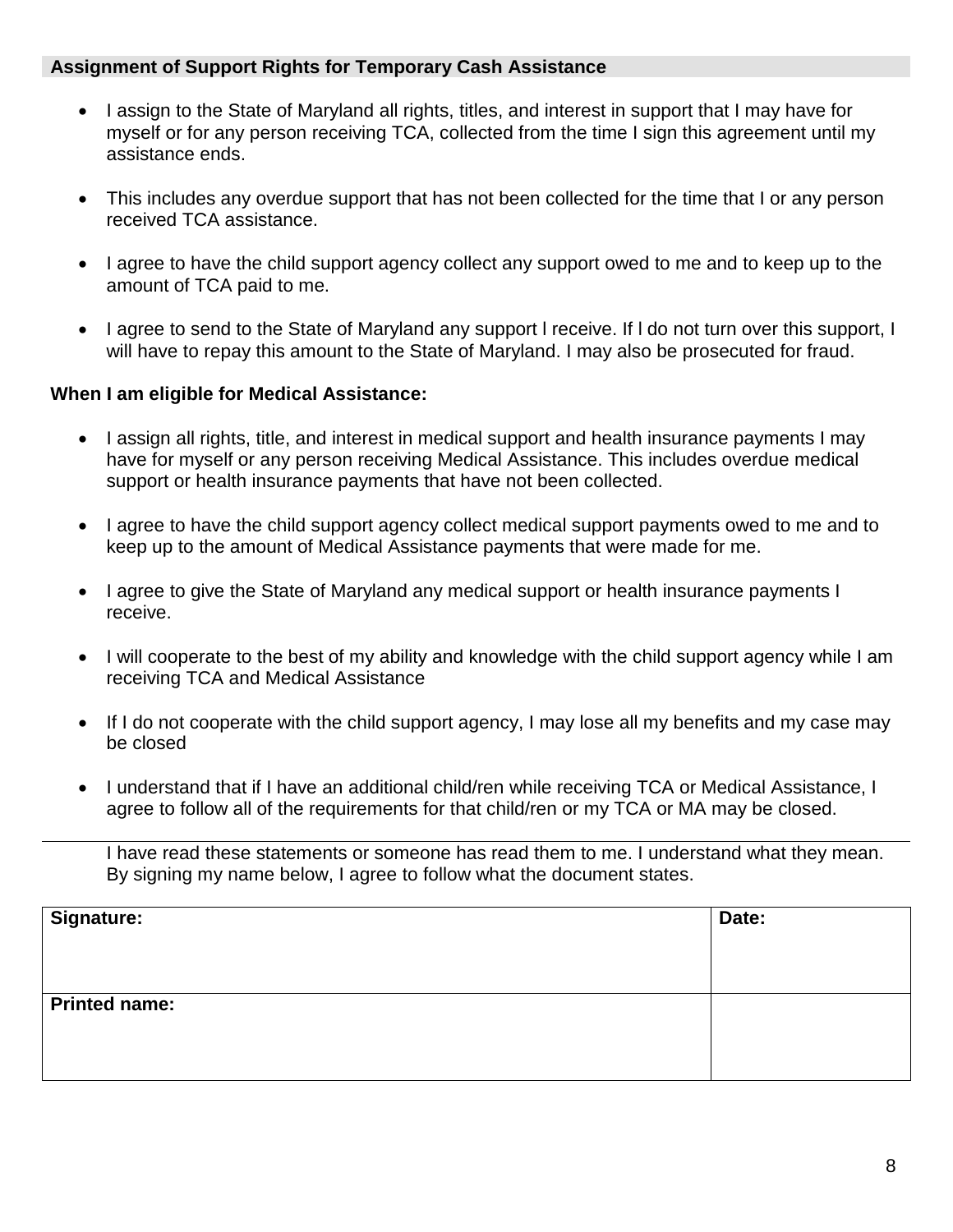#### **Assignment of Support Rights for Temporary Cash Assistance**

- I assign to the State of Maryland all rights, titles, and interest in support that I may have for myself or for any person receiving TCA, collected from the time I sign this agreement until my assistance ends.
- This includes any overdue support that has not been collected for the time that I or any person received TCA assistance.
- I agree to have the child support agency collect any support owed to me and to keep up to the amount of TCA paid to me.
- I agree to send to the State of Maryland any support I receive. If I do not turn over this support, I will have to repay this amount to the State of Maryland. I may also be prosecuted for fraud.

#### **When I am eligible for Medical Assistance:**

- I assign all rights, title, and interest in medical support and health insurance payments I may have for myself or any person receiving Medical Assistance. This includes overdue medical support or health insurance payments that have not been collected.
- I agree to have the child support agency collect medical support payments owed to me and to keep up to the amount of Medical Assistance payments that were made for me.
- I agree to give the State of Maryland any medical support or health insurance payments I receive.
- I will cooperate to the best of my ability and knowledge with the child support agency while I am receiving TCA and Medical Assistance
- If I do not cooperate with the child support agency, I may lose all my benefits and my case may be closed
- I understand that if I have an additional child/ren while receiving TCA or Medical Assistance, I agree to follow all of the requirements for that child/ren or my TCA or MA may be closed.

I have read these statements or someone has read them to me. I understand what they mean. By signing my name below, I agree to follow what the document states.

| <b>Signature:</b>    | Date: |
|----------------------|-------|
|                      |       |
|                      |       |
|                      |       |
| <b>Printed name:</b> |       |
|                      |       |
|                      |       |
|                      |       |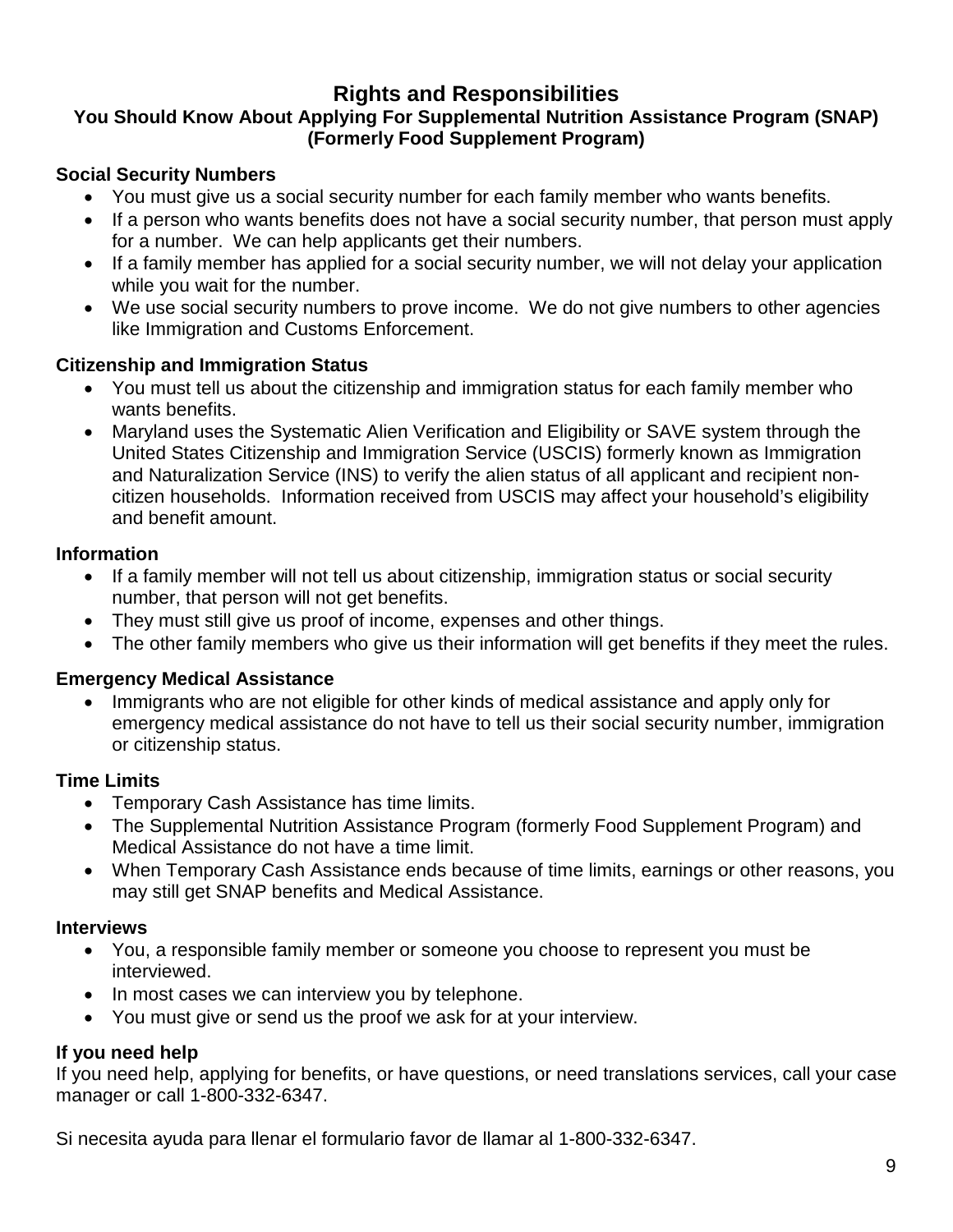# **Rights and Responsibilities**

# **You Should Know About Applying For Supplemental Nutrition Assistance Program (SNAP) (Formerly Food Supplement Program)**

# **Social Security Numbers**

- You must give us a social security number for each family member who wants benefits.
- If a person who wants benefits does not have a social security number, that person must apply for a number. We can help applicants get their numbers.
- If a family member has applied for a social security number, we will not delay your application while you wait for the number.
- We use social security numbers to prove income. We do not give numbers to other agencies like Immigration and Customs Enforcement.

### **Citizenship and Immigration Status**

- You must tell us about the citizenship and immigration status for each family member who wants benefits.
- Maryland uses the Systematic Alien Verification and Eligibility or SAVE system through the United States Citizenship and Immigration Service (USCIS) formerly known as Immigration and Naturalization Service (INS) to verify the alien status of all applicant and recipient noncitizen households. Information received from USCIS may affect your household's eligibility and benefit amount.

### **Information**

- If a family member will not tell us about citizenship, immigration status or social security number, that person will not get benefits.
- They must still give us proof of income, expenses and other things.
- The other family members who give us their information will get benefits if they meet the rules.

### **Emergency Medical Assistance**

• Immigrants who are not eligible for other kinds of medical assistance and apply only for emergency medical assistance do not have to tell us their social security number, immigration or citizenship status.

### **Time Limits**

- Temporary Cash Assistance has time limits.
- The Supplemental Nutrition Assistance Program (formerly Food Supplement Program) and Medical Assistance do not have a time limit.
- When Temporary Cash Assistance ends because of time limits, earnings or other reasons, you may still get SNAP benefits and Medical Assistance.

### **Interviews**

- You, a responsible family member or someone you choose to represent you must be interviewed.
- In most cases we can interview you by telephone.
- You must give or send us the proof we ask for at your interview.

### **If you need help**

If you need help, applying for benefits, or have questions, or need translations services, call your case manager or call 1-800-332-6347.

Si necesita ayuda para llenar el formulario favor de llamar al 1-800-332-6347.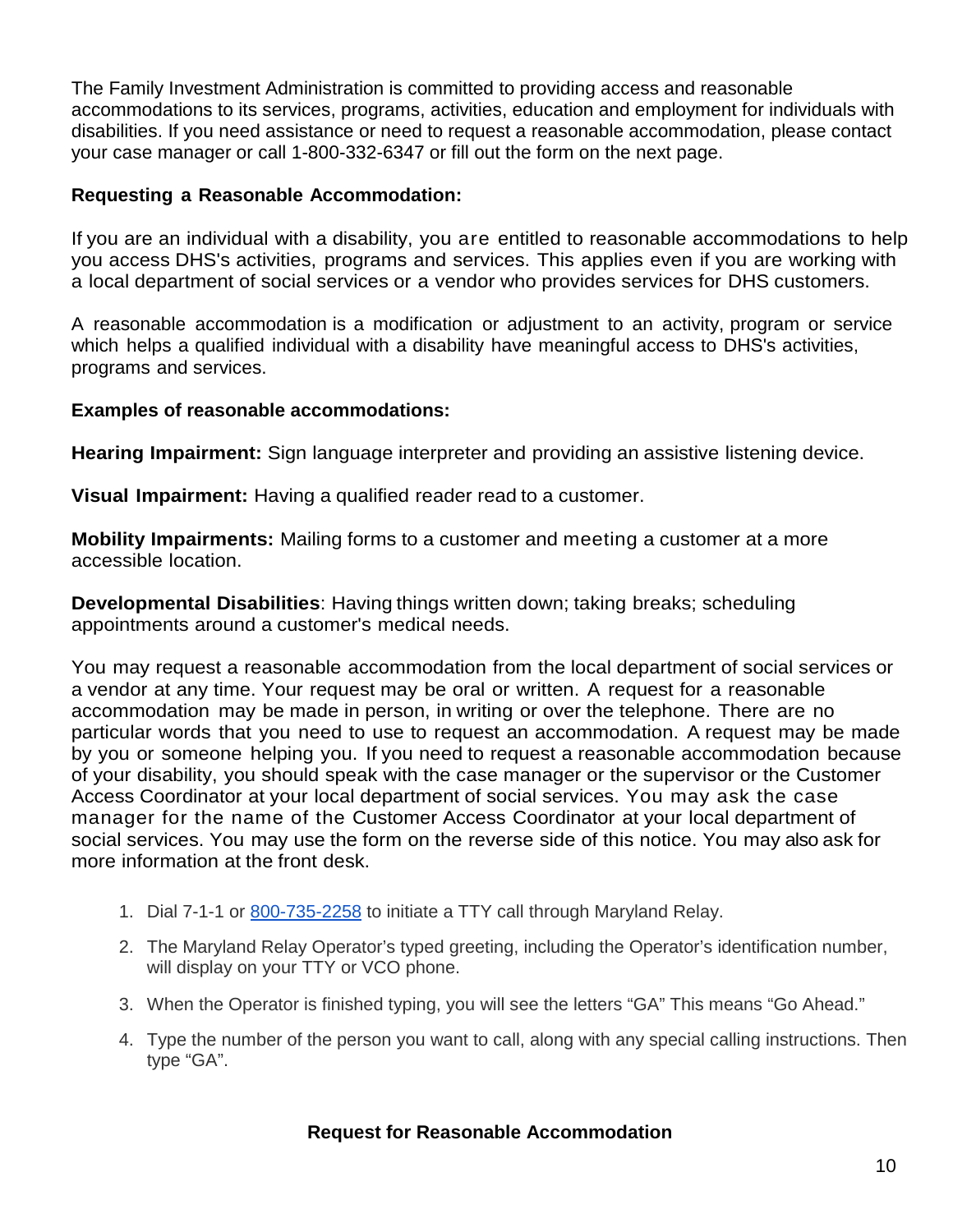The Family Investment Administration is committed to providing access and reasonable accommodations to its services, programs, activities, education and employment for individuals with disabilities. If you need assistance or need to request a reasonable accommodation, please contact your case manager or call 1-800-332-6347 or fill out the form on the next page.

### **Requesting a Reasonable Accommodation:**

If you are an individual with a disability, you are entitled to reasonable accommodations to help you access DHS's activities, programs and services. This applies even if you are working with a local department of social services or a vendor who provides services for DHS customers.

A reasonable accommodation is a modification or adjustment to an activity, program or service which helps a qualified individual with a disability have meaningful access to DHS's activities, programs and services.

### **Examples of reasonable accommodations:**

**Hearing Impairment:** Sign language interpreter and providing an assistive listening device.

**Visual Impairment:** Having a qualified reader read to a customer.

**Mobility Impairments:** Mailing forms to a customer and meeting a customer at a more accessible location.

**Developmental Disabilities**: Having things written down; taking breaks; scheduling appointments around a customer's medical needs.

You may request a reasonable accommodation from the local department of social services or a vendor at any time. Your request may be oral or written. A request for a reasonable accommodation may be made in person, in writing or over the telephone. There are no particular words that you need to use to request an accommodation. A request may be made by you or someone helping you. If you need to request a reasonable accommodation because of your disability, you should speak with the case manager or the supervisor or the Customer Access Coordinator at your local department of social services. You may ask the case manager for the name of the Customer Access Coordinator at your local department of social services. You may use the form on the reverse side of this notice. You may also ask for more information at the front desk.

- 1. Dial 7-1-1 or 800-735-2258 to initiate a TTY call through Maryland Relay.
- 2. The Maryland Relay Operator's typed greeting, including the Operator's identification number, will display on your TTY or VCO phone.
- 3. When the Operator is finished typing, you will see the letters "GA" This means "Go Ahead."
- 4. Type the number of the person you want to call, along with any special calling instructions. Then type "GA".

### **Request for Reasonable Accommodation**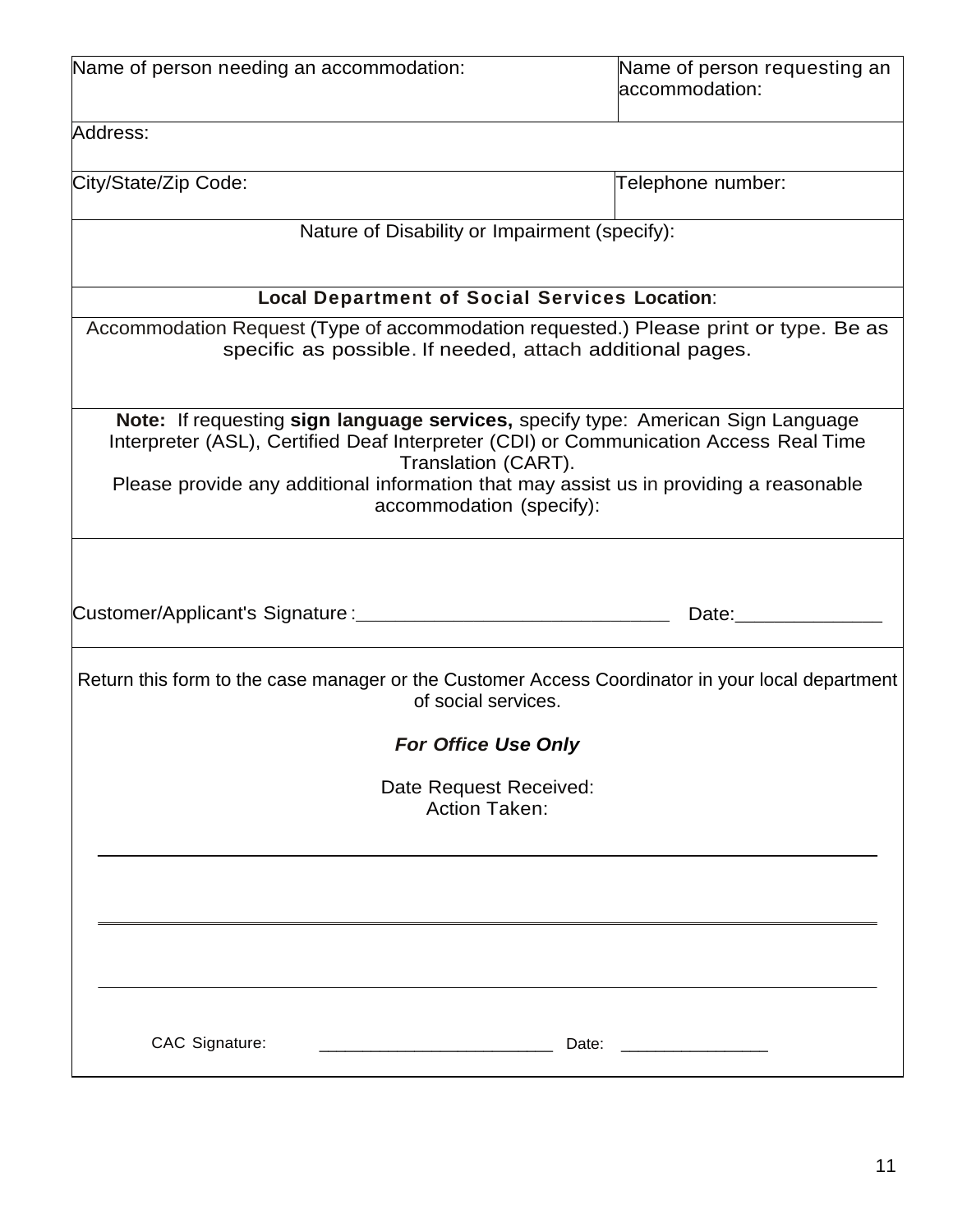| Name of person needing an accommodation:                                                                                                                                                                                                                                                                               | Name of person requesting an<br>accommodation: |
|------------------------------------------------------------------------------------------------------------------------------------------------------------------------------------------------------------------------------------------------------------------------------------------------------------------------|------------------------------------------------|
| Address:                                                                                                                                                                                                                                                                                                               |                                                |
| City/State/Zip Code:                                                                                                                                                                                                                                                                                                   | Telephone number:                              |
| Nature of Disability or Impairment (specify):                                                                                                                                                                                                                                                                          |                                                |
| <b>Local Department of Social Services Location:</b>                                                                                                                                                                                                                                                                   |                                                |
| Accommodation Request (Type of accommodation requested.) Please print or type. Be as<br>specific as possible. If needed, attach additional pages.                                                                                                                                                                      |                                                |
| Note: If requesting sign language services, specify type: American Sign Language<br>Interpreter (ASL), Certified Deaf Interpreter (CDI) or Communication Access Real Time<br>Translation (CART).<br>Please provide any additional information that may assist us in providing a reasonable<br>accommodation (specify): |                                                |
| Customer/Applicant's Signature :_________                                                                                                                                                                                                                                                                              | Date: Date:                                    |
| Return this form to the case manager or the Customer Access Coordinator in your local department<br>of social services.                                                                                                                                                                                                |                                                |
| For Office Use Only                                                                                                                                                                                                                                                                                                    |                                                |
| Date Request Received:<br><b>Action Taken:</b>                                                                                                                                                                                                                                                                         |                                                |
|                                                                                                                                                                                                                                                                                                                        |                                                |
|                                                                                                                                                                                                                                                                                                                        |                                                |
| CAC Signature:                                                                                                                                                                                                                                                                                                         | Date:                                          |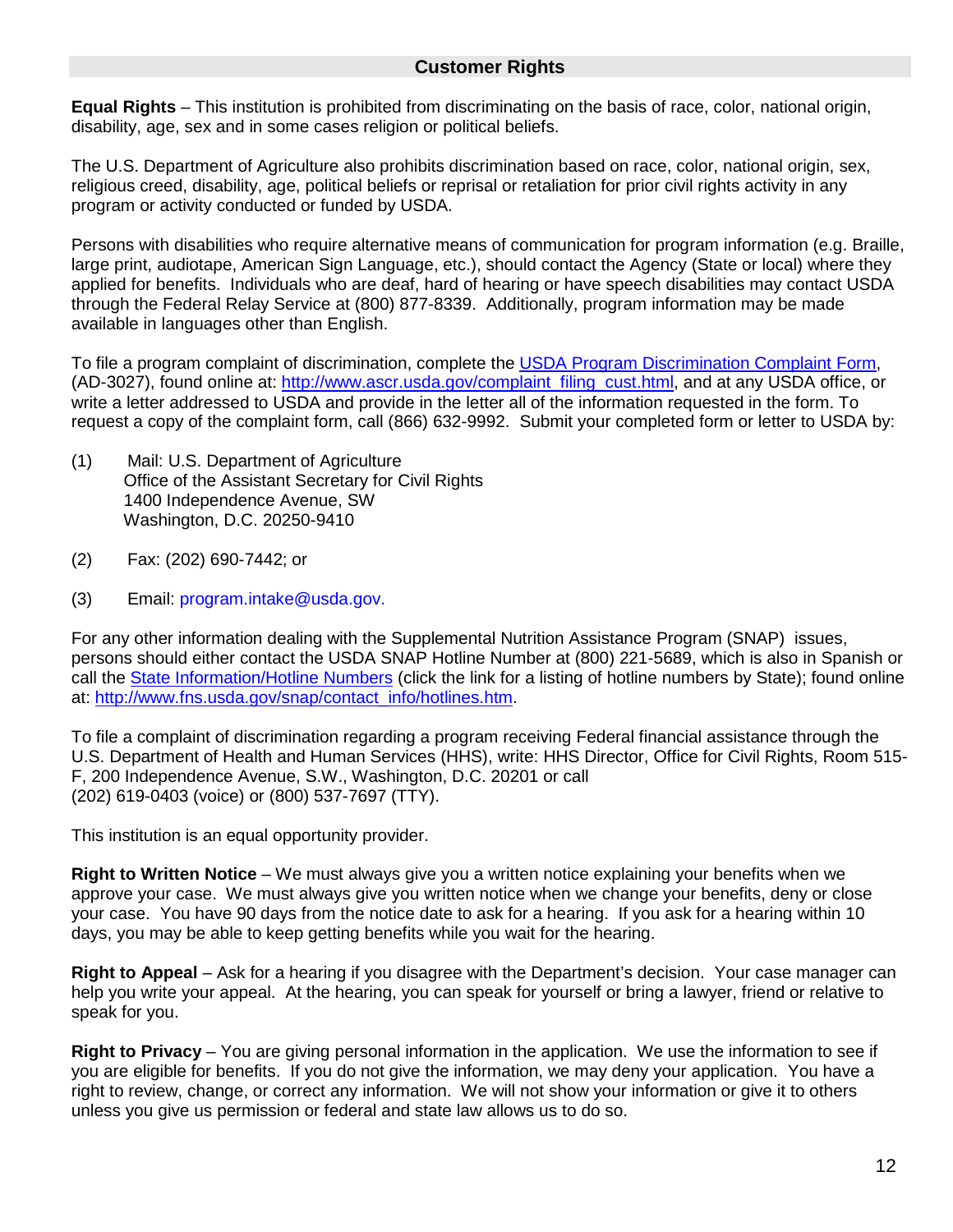#### **Customer Rights**

**Equal Rights** – This institution is prohibited from discriminating on the basis of race, color, national origin, disability, age, sex and in some cases religion or political beliefs.

The U.S. Department of Agriculture also prohibits discrimination based on race, color, national origin, sex, religious creed, disability, age, political beliefs or reprisal or retaliation for prior civil rights activity in any program or activity conducted or funded by USDA.

Persons with disabilities who require alternative means of communication for program information (e.g. Braille, large print, audiotape, American Sign Language, etc.), should contact the Agency (State or local) where they applied for benefits. Individuals who are deaf, hard of hearing or have speech disabilities may contact USDA through the Federal Relay Service at (800) 877-8339. Additionally, program information may be made available in languages other than English.

To file a program complaint of discrimination, complete the [USDA Program Discrimination Complaint Form,](http://www.ocio.usda.gov/sites/default/files/docs/2012/Complain_combined_6_8_12.pdf) (AD-3027), found online at: [http://www.ascr.usda.gov/complaint\\_filing\\_cust.html,](http://www.ascr.usda.gov/complaint_filing_cust.html) and at any USDA office, or write a letter addressed to USDA and provide in the letter all of the information requested in the form. To request a copy of the complaint form, call (866) 632-9992. Submit your completed form or letter to USDA by:

- (1) Mail: U.S. Department of Agriculture Office of the Assistant Secretary for Civil Rights 1400 Independence Avenue, SW Washington, D.C. 20250-9410
- (2) Fax: (202) 690-7442; or
- (3) Email: program.intake@usda.gov.

For any other information dealing with the Supplemental Nutrition Assistance Program (SNAP) issues, persons should either contact the USDA SNAP Hotline Number at (800) 221-5689, which is also in Spanish or call the [State Information/Hotline Numbers](http://www.fns.usda.gov/snap/contact_info/hotlines.htm) (click the link for a listing of hotline numbers by State); found online at: [http://www.fns.usda.gov/snap/contact\\_info/hotlines.htm.](http://www.fns.usda.gov/snap/contact_info/hotlines.htm)

To file a complaint of discrimination regarding a program receiving Federal financial assistance through the U.S. Department of Health and Human Services (HHS), write: HHS Director, Office for Civil Rights, Room 515- F, 200 Independence Avenue, S.W., Washington, D.C. 20201 or call (202) 619-0403 (voice) or (800) 537-7697 (TTY).

This institution is an equal opportunity provider.

**Right to Written Notice** – We must always give you a written notice explaining your benefits when we approve your case. We must always give you written notice when we change your benefits, deny or close your case. You have 90 days from the notice date to ask for a hearing. If you ask for a hearing within 10 days, you may be able to keep getting benefits while you wait for the hearing.

**Right to Appeal** – Ask for a hearing if you disagree with the Department's decision. Your case manager can help you write your appeal. At the hearing, you can speak for yourself or bring a lawyer, friend or relative to speak for you.

**Right to Privacy** – You are giving personal information in the application. We use the information to see if you are eligible for benefits. If you do not give the information, we may deny your application. You have a right to review, change, or correct any information. We will not show your information or give it to others unless you give us permission or federal and state law allows us to do so.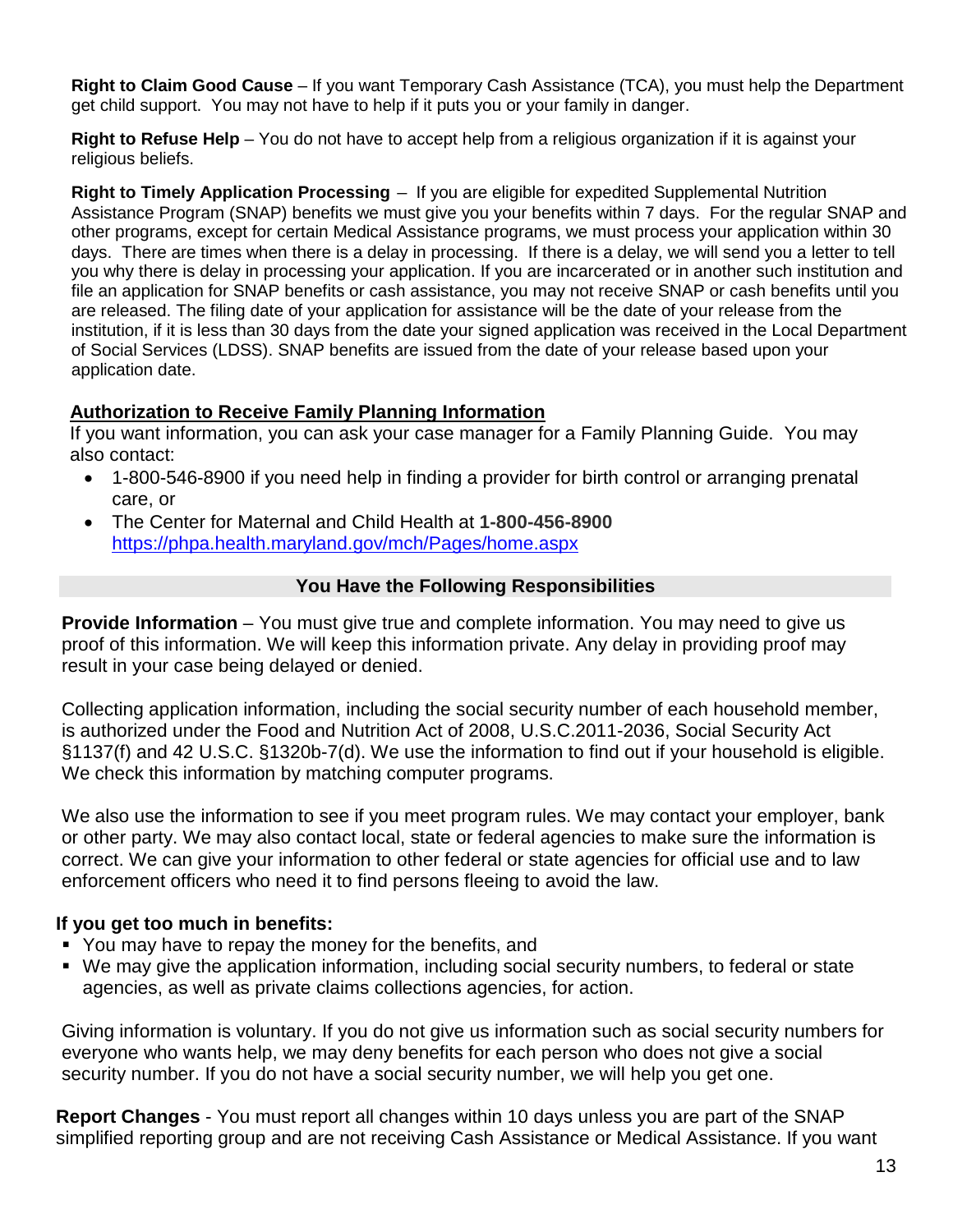**Right to Claim Good Cause** – If you want Temporary Cash Assistance (TCA), you must help the Department get child support. You may not have to help if it puts you or your family in danger.

**Right to Refuse Help** – You do not have to accept help from a religious organization if it is against your religious beliefs.

**Right to Timely Application Processing** – If you are eligible for expedited Supplemental Nutrition Assistance Program (SNAP) benefits we must give you your benefits within 7 days. For the regular SNAP and other programs, except for certain Medical Assistance programs, we must process your application within 30 days. There are times when there is a delay in processing. If there is a delay, we will send you a letter to tell you why there is delay in processing your application. If you are incarcerated or in another such institution and file an application for SNAP benefits or cash assistance, you may not receive SNAP or cash benefits until you are released. The filing date of your application for assistance will be the date of your release from the institution, if it is less than 30 days from the date your signed application was received in the Local Department of Social Services (LDSS). SNAP benefits are issued from the date of your release based upon your application date.

#### **Authorization to Receive Family Planning Information**

If you want information, you can ask your case manager for a Family Planning Guide. You may also contact:

- 1-800-546-8900 if you need help in finding a provider for birth control or arranging prenatal care, or
- The Center for Maternal and Child Health at **1-800-456-8900** <https://phpa.health.maryland.gov/mch/Pages/home.aspx>

# **You Have the Following Responsibilities**

**Provide Information** – You must give true and complete information. You may need to give us proof of this information. We will keep this information private. Any delay in providing proof may result in your case being delayed or denied.

Collecting application information, including the social security number of each household member, is authorized under the Food and Nutrition Act of 2008, U.S.C.2011-2036, Social Security Act §1137(f) and 42 U.S.C. §1320b-7(d). We use the information to find out if your household is eligible. We check this information by matching computer programs.

We also use the information to see if you meet program rules. We may contact your employer, bank or other party. We may also contact local, state or federal agencies to make sure the information is correct. We can give your information to other federal or state agencies for official use and to law enforcement officers who need it to find persons fleeing to avoid the law.

### **If you get too much in benefits:**

- You may have to repay the money for the benefits, and
- We may give the application information, including social security numbers, to federal or state agencies, as well as private claims collections agencies, for action.

Giving information is voluntary. If you do not give us information such as social security numbers for everyone who wants help, we may deny benefits for each person who does not give a social security number. If you do not have a social security number, we will help you get one.

**Report Changes** - You must report all changes within 10 days unless you are part of the SNAP simplified reporting group and are not receiving Cash Assistance or Medical Assistance. If you want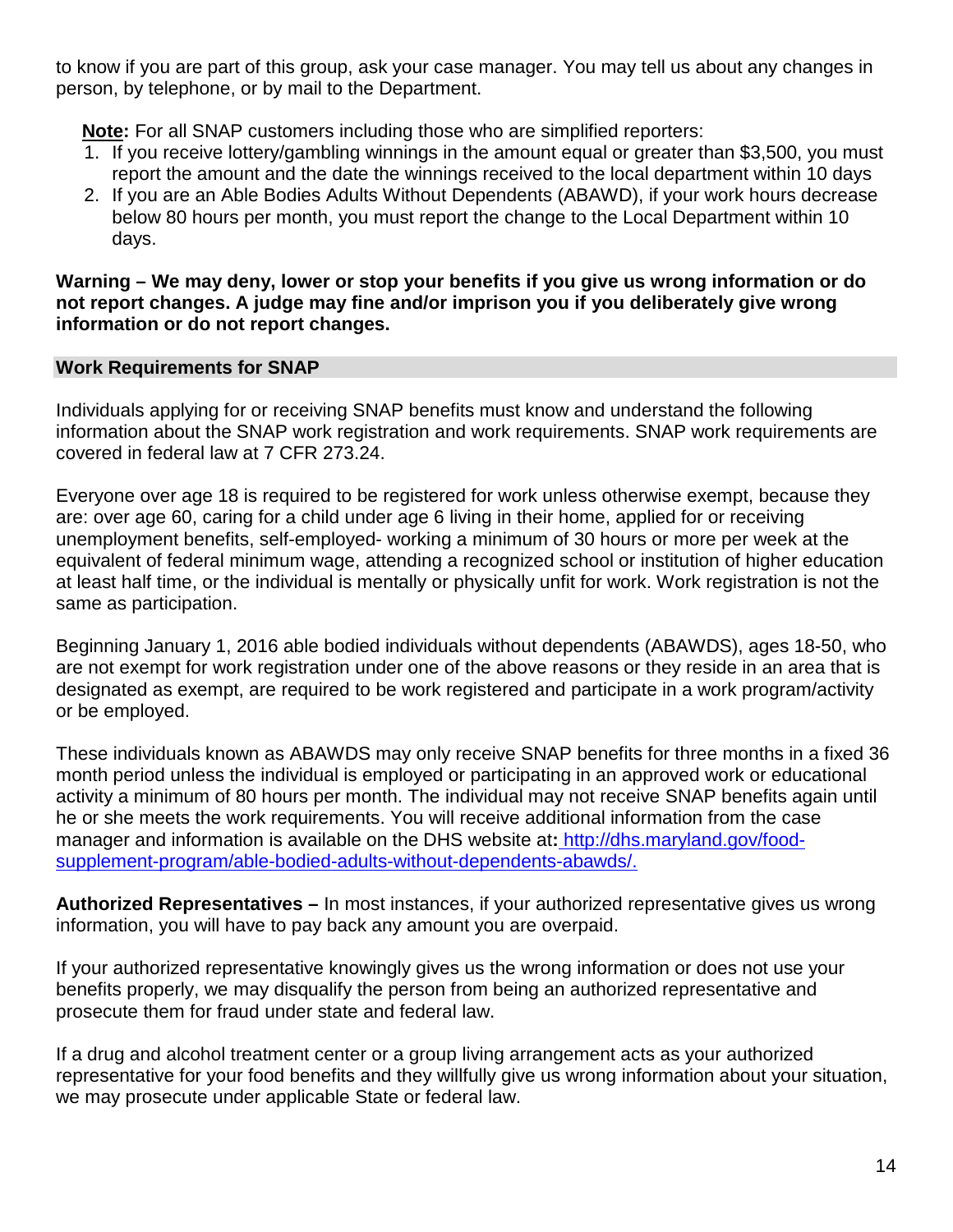to know if you are part of this group, ask your case manager. You may tell us about any changes in person, by telephone, or by mail to the Department.

**Note :** For all SNAP customers including those who are simplified reporters:

- 1. If you receive lottery/gambling winnings in the amount equal or greater than \$3,500, you must report the amount and the date the winnings received to the local department within 10 days
- 2. If you are an Able Bodies Adults Without Dependents (ABAWD), if your work hours decrease below 80 hours per month, you must report the change to the Local Department within 10 days.

#### **Warning – We may deny, lower or stop your benefits if you give us wrong information or do not report changes. A judge may fine and/or imprison you if you deliberately give wrong information or do not report changes.**

#### **Work Requirements for SNAP**

Individuals applying for or receiving SNAP benefits must know and understand the following information about the SNAP work registration and work requirements. SNAP work requirements are covered in federal law at 7 CFR 273.24.

Everyone over age 18 is required to be registered for work unless otherwise exempt, because they are: over age 60, caring for a child under age 6 living in their home, applied for or receiving unemployment benefits, self-employed- working a minimum of 30 hours or more per week at the equivalent of federal minimum wage, attending a recognized school or institution of higher education at least half time, or the individual is mentally or physically unfit for work. Work registration is not the same as participation.

Beginning January 1, 2016 able bodied individuals without dependents (ABAWDS), ages 18-50, who are not exempt for work registration under one of the above reasons or they reside in an area that is designated as exempt, are required to be work registered and participate in a work program/activity or be employed.

These individuals known as ABAWDS may only receive SNAP benefits for three months in a fixed 36 month period unless the individual is employed or participating in an approved work or educational activity a minimum of 80 hours per month. The individual may not receive SNAP benefits again until he or she meets the work requirements. You will receive additional information from the case manager and information is available on the DHS website at**:** http://dhs.maryland.gov/foodsupplement-program/able-bodied-adults-without-dependents-abawds/.

**Authorized Representatives –** In most instances, if your authorized representative gives us wrong information, you will have to pay back any amount you are overpaid.

If your authorized representative knowingly gives us the wrong information or does not use your benefits properly, we may disqualify the person from being an authorized representative and prosecute them for fraud under state and federal law.

If a drug and alcohol treatment center or a group living arrangement acts as your authorized representative for your food benefits and they willfully give us wrong information about your situation, we may prosecute under applicable State or federal law.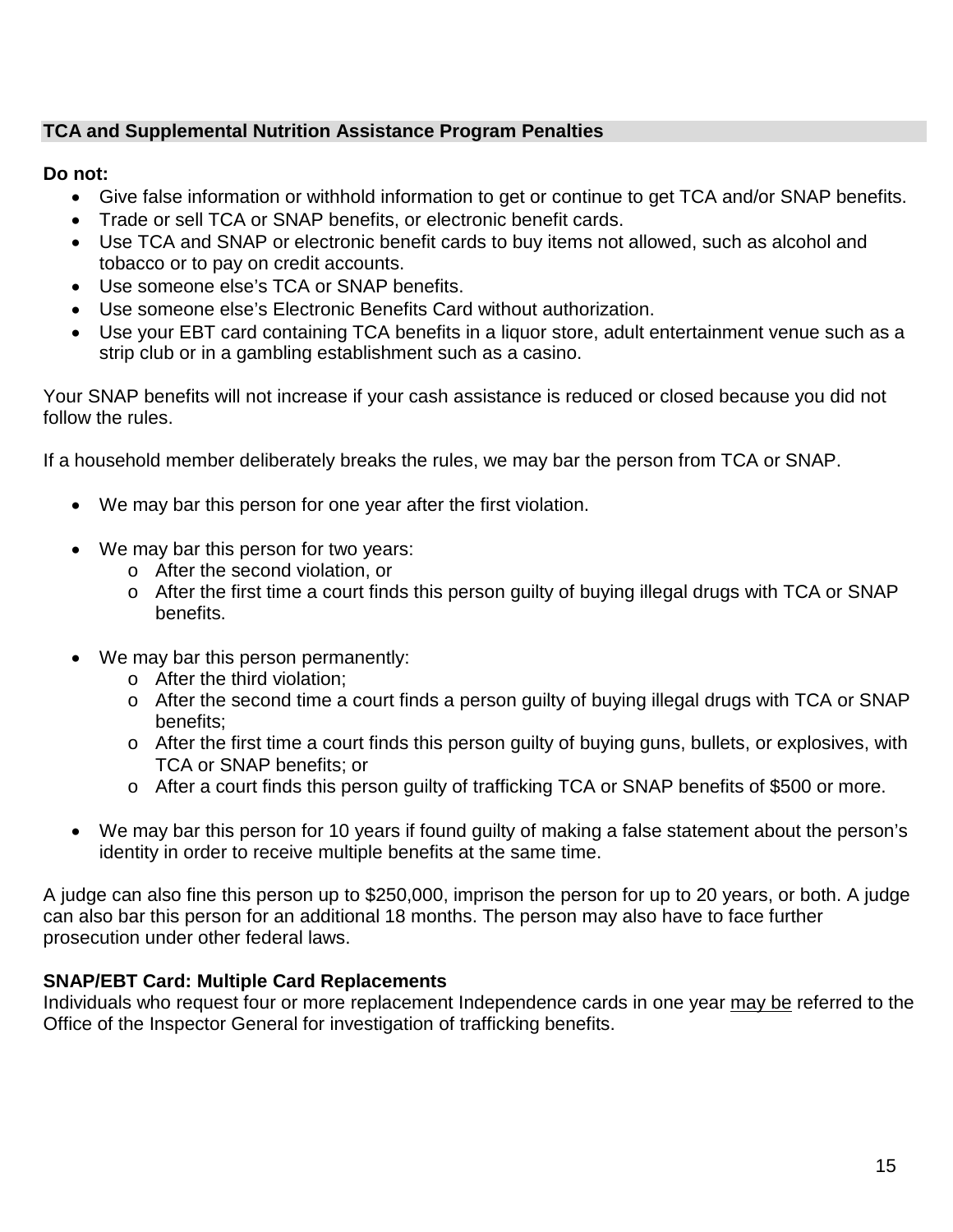# **TCA and Supplemental Nutrition Assistance Program Penalties**

# **Do not:**

- Give false information or withhold information to get or continue to get TCA and/or SNAP benefits.
- Trade or sell TCA or SNAP benefits, or electronic benefit cards.
- Use TCA and SNAP or electronic benefit cards to buy items not allowed, such as alcohol and tobacco or to pay on credit accounts.
- Use someone else's TCA or SNAP benefits.
- Use someone else's Electronic Benefits Card without authorization.
- Use your EBT card containing TCA benefits in a liquor store, adult entertainment venue such as a strip club or in a gambling establishment such as a casino.

Your SNAP benefits will not increase if your cash assistance is reduced or closed because you did not follow the rules.

If a household member deliberately breaks the rules, we may bar the person from TCA or SNAP.

- We may bar this person for one year after the first violation.
- We may bar this person for two years:
	- o After the second violation, or
	- o After the first time a court finds this person guilty of buying illegal drugs with TCA or SNAP benefits.
- We may bar this person permanently:
	- o After the third violation;
	- o After the second time a court finds a person guilty of buying illegal drugs with TCA or SNAP benefits;
	- o After the first time a court finds this person guilty of buying guns, bullets, or explosives, with TCA or SNAP benefits; or
	- o After a court finds this person guilty of trafficking TCA or SNAP benefits of \$500 or more.
- We may bar this person for 10 years if found guilty of making a false statement about the person's identity in order to receive multiple benefits at the same time.

A judge can also fine this person up to \$250,000, imprison the person for up to 20 years, or both. A judge can also bar this person for an additional 18 months. The person may also have to face further prosecution under other federal laws.

# **SNAP/EBT Card: Multiple Card Replacements**

Individuals who request four or more replacement Independence cards in one year may be referred to the Office of the Inspector General for investigation of trafficking benefits.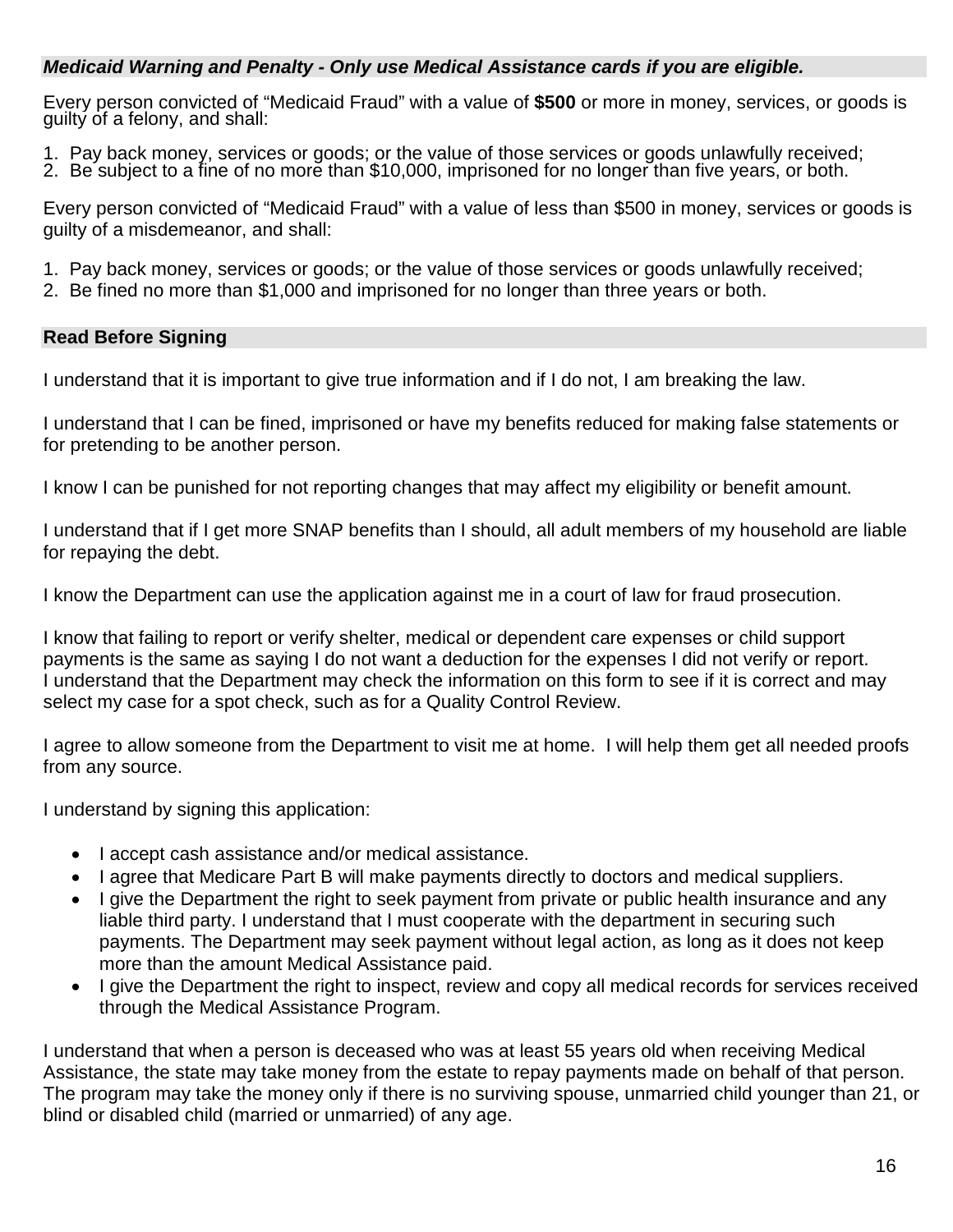### *Medicaid Warning and Penalty - Only use Medical Assistance cards if you are eligible.*

Every person convicted of "Medicaid Fraud" with a value of **\$500** or more in money, services, or goods is guilty of a felony, and shall:

- 1. Pay back money, services or goods; or the value of those services or goods unlawfully received;<br>2. Be subject to a fine of no more than \$10,000, imprisoned for no longer than five years, or both.
- 

Every person convicted of "Medicaid Fraud" with a value of less than \$500 in money, services or goods is guilty of a misdemeanor, and shall:

- 1. Pay back money, services or goods; or the value of those services or goods unlawfully received;
- 2. Be fined no more than \$1,000 and imprisoned for no longer than three years or both.

#### **Read Before Signing**

I understand that it is important to give true information and if I do not, I am breaking the law.

I understand that I can be fined, imprisoned or have my benefits reduced for making false statements or for pretending to be another person.

I know I can be punished for not reporting changes that may affect my eligibility or benefit amount.

I understand that if I get more SNAP benefits than I should, all adult members of my household are liable for repaying the debt.

I know the Department can use the application against me in a court of law for fraud prosecution.

I know that failing to report or verify shelter, medical or dependent care expenses or child support payments is the same as saying I do not want a deduction for the expenses I did not verify or report. I understand that the Department may check the information on this form to see if it is correct and may select my case for a spot check, such as for a Quality Control Review.

I agree to allow someone from the Department to visit me at home. I will help them get all needed proofs from any source.

I understand by signing this application:

- I accept cash assistance and/or medical assistance.
- I agree that Medicare Part B will make payments directly to doctors and medical suppliers.
- I give the Department the right to seek payment from private or public health insurance and any liable third party. I understand that I must cooperate with the department in securing such payments. The Department may seek payment without legal action, as long as it does not keep more than the amount Medical Assistance paid.
- I give the Department the right to inspect, review and copy all medical records for services received through the Medical Assistance Program.

I understand that when a person is deceased who was at least 55 years old when receiving Medical Assistance, the state may take money from the estate to repay payments made on behalf of that person. The program may take the money only if there is no surviving spouse, unmarried child younger than 21, or blind or disabled child (married or unmarried) of any age.